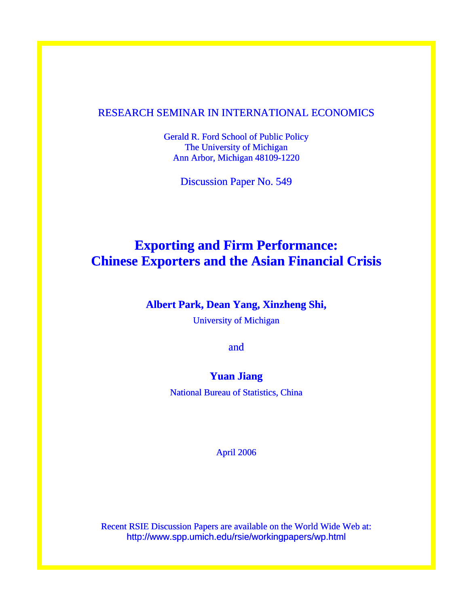## RESEARCH SEMINAR IN INTERNATIONAL ECONOMICS

Gerald R. Ford School of Public Policy The University of Michigan Ann Arbor, Michigan 48109-1220

Discussion Paper No. 549

# **Exporting and Firm Performance: Chinese Exporters and the Asian Financial Crisis**

## **Albert Park, Dean Yang, Xinzheng Shi,**

University of Michigan

and

## **Yuan Jiang**

National Bureau of Statistics, China

April 2006

Recent RSIE Discussion Papers are available on the World Wide Web at: http://www.spp.umich.edu/rsie/workingpapers/wp.html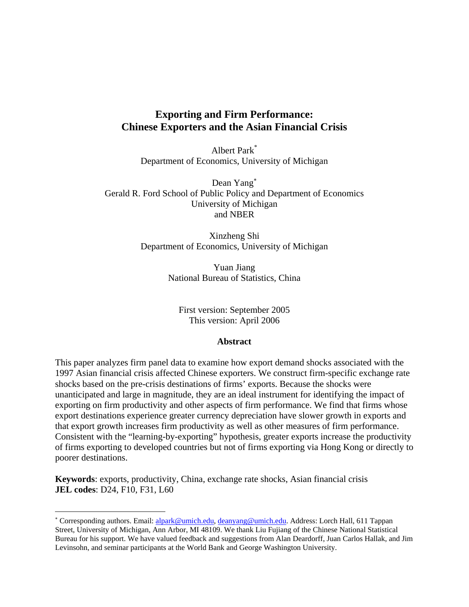## **Exporting and Firm Performance: Chinese Exporters and the Asian Financial Crisis**

Albert Park\* Department of Economics, University of Michigan

Dean Yang<sup>∗</sup> Gerald R. Ford School of Public Policy and Department of Economics University of Michigan and NBER

> Xinzheng Shi Department of Economics, University of Michigan

> > Yuan Jiang National Bureau of Statistics, China

First version: September 2005 This version: April 2006

#### **Abstract**

This paper analyzes firm panel data to examine how export demand shocks associated with the 1997 Asian financial crisis affected Chinese exporters. We construct firm-specific exchange rate shocks based on the pre-crisis destinations of firms' exports. Because the shocks were unanticipated and large in magnitude, they are an ideal instrument for identifying the impact of exporting on firm productivity and other aspects of firm performance. We find that firms whose export destinations experience greater currency depreciation have slower growth in exports and that export growth increases firm productivity as well as other measures of firm performance. Consistent with the "learning-by-exporting" hypothesis, greater exports increase the productivity of firms exporting to developed countries but not of firms exporting via Hong Kong or directly to poorer destinations.

**Keywords**: exports, productivity, China, exchange rate shocks, Asian financial crisis **JEL codes**: D24, F10, F31, L60

 $\overline{a}$ 

<sup>\*</sup> Corresponding authors. Email: alpark@umich.edu, deanyang@umich.edu. Address: Lorch Hall, 611 Tappan Street, University of Michigan, Ann Arbor, MI 48109. We thank Liu Fujiang of the Chinese National Statistical Bureau for his support. We have valued feedback and suggestions from Alan Deardorff, Juan Carlos Hallak, and Jim Levinsohn, and seminar participants at the World Bank and George Washington University.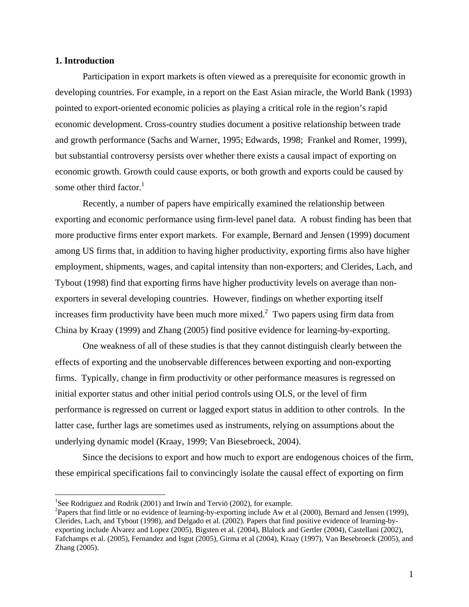#### **1. Introduction**

 $\overline{a}$ 

Participation in export markets is often viewed as a prerequisite for economic growth in developing countries. For example, in a report on the East Asian miracle, the World Bank (1993) pointed to export-oriented economic policies as playing a critical role in the region's rapid economic development. Cross-country studies document a positive relationship between trade and growth performance (Sachs and Warner, 1995; Edwards, 1998; Frankel and Romer, 1999), but substantial controversy persists over whether there exists a causal impact of exporting on economic growth. Growth could cause exports, or both growth and exports could be caused by some other third factor. $<sup>1</sup>$ </sup>

Recently, a number of papers have empirically examined the relationship between exporting and economic performance using firm-level panel data. A robust finding has been that more productive firms enter export markets. For example, Bernard and Jensen (1999) document among US firms that, in addition to having higher productivity, exporting firms also have higher employment, shipments, wages, and capital intensity than non-exporters; and Clerides, Lach, and Tybout (1998) find that exporting firms have higher productivity levels on average than nonexporters in several developing countries. However, findings on whether exporting itself increases firm productivity have been much more mixed.<sup>2</sup> Two papers using firm data from China by Kraay (1999) and Zhang (2005) find positive evidence for learning-by-exporting.

One weakness of all of these studies is that they cannot distinguish clearly between the effects of exporting and the unobservable differences between exporting and non-exporting firms. Typically, change in firm productivity or other performance measures is regressed on initial exporter status and other initial period controls using OLS, or the level of firm performance is regressed on current or lagged export status in addition to other controls. In the latter case, further lags are sometimes used as instruments, relying on assumptions about the underlying dynamic model (Kraay, 1999; Van Biesebroeck, 2004).

Since the decisions to export and how much to export are endogenous choices of the firm, these empirical specifications fail to convincingly isolate the causal effect of exporting on firm

<sup>&</sup>lt;sup>1</sup>See Rodriguez and Rodrik (2001) and Irwin and Terviö (2002), for example.

<sup>&</sup>lt;sup>2</sup>Papers that find little or no evidence of learning-by-exporting include Aw et al (2000), Bernard and Jensen (1999), Clerides, Lach, and Tybout (1998), and Delgado et al. (2002). Papers that find positive evidence of learning-byexporting include Alvarez and Lopez (2005), Bigsten et al. (2004), Blalock and Gertler (2004), Castellani (2002), Fafchamps et al. (2005), Fernandez and Isgut (2005), Girma et al (2004), Kraay (1997), Van Besebroeck (2005), and Zhang (2005).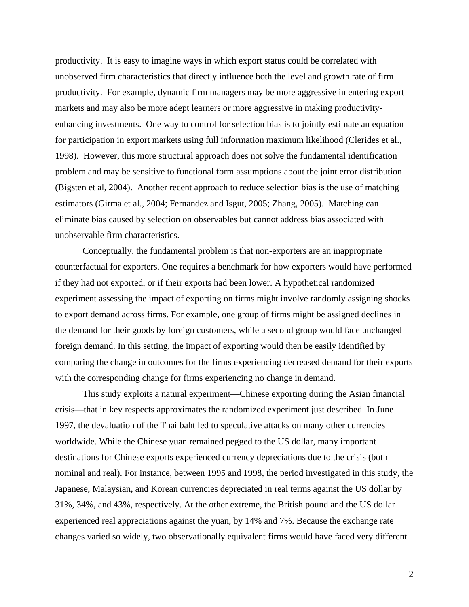productivity. It is easy to imagine ways in which export status could be correlated with unobserved firm characteristics that directly influence both the level and growth rate of firm productivity. For example, dynamic firm managers may be more aggressive in entering export markets and may also be more adept learners or more aggressive in making productivityenhancing investments. One way to control for selection bias is to jointly estimate an equation for participation in export markets using full information maximum likelihood (Clerides et al., 1998). However, this more structural approach does not solve the fundamental identification problem and may be sensitive to functional form assumptions about the joint error distribution (Bigsten et al, 2004). Another recent approach to reduce selection bias is the use of matching estimators (Girma et al., 2004; Fernandez and Isgut, 2005; Zhang, 2005). Matching can eliminate bias caused by selection on observables but cannot address bias associated with unobservable firm characteristics.

Conceptually, the fundamental problem is that non-exporters are an inappropriate counterfactual for exporters. One requires a benchmark for how exporters would have performed if they had not exported, or if their exports had been lower. A hypothetical randomized experiment assessing the impact of exporting on firms might involve randomly assigning shocks to export demand across firms. For example, one group of firms might be assigned declines in the demand for their goods by foreign customers, while a second group would face unchanged foreign demand. In this setting, the impact of exporting would then be easily identified by comparing the change in outcomes for the firms experiencing decreased demand for their exports with the corresponding change for firms experiencing no change in demand.

This study exploits a natural experiment—Chinese exporting during the Asian financial crisis—that in key respects approximates the randomized experiment just described. In June 1997, the devaluation of the Thai baht led to speculative attacks on many other currencies worldwide. While the Chinese yuan remained pegged to the US dollar, many important destinations for Chinese exports experienced currency depreciations due to the crisis (both nominal and real). For instance, between 1995 and 1998, the period investigated in this study, the Japanese, Malaysian, and Korean currencies depreciated in real terms against the US dollar by 31%, 34%, and 43%, respectively. At the other extreme, the British pound and the US dollar experienced real appreciations against the yuan, by 14% and 7%. Because the exchange rate changes varied so widely, two observationally equivalent firms would have faced very different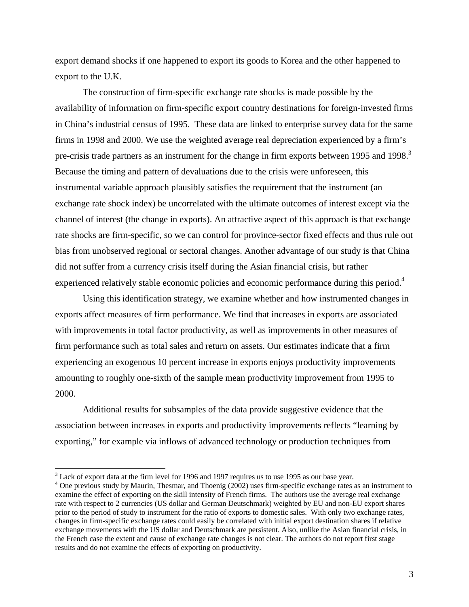export demand shocks if one happened to export its goods to Korea and the other happened to export to the U.K.

The construction of firm-specific exchange rate shocks is made possible by the availability of information on firm-specific export country destinations for foreign-invested firms in China's industrial census of 1995. These data are linked to enterprise survey data for the same firms in 1998 and 2000. We use the weighted average real depreciation experienced by a firm's pre-crisis trade partners as an instrument for the change in firm exports between 1995 and 1998.<sup>3</sup> Because the timing and pattern of devaluations due to the crisis were unforeseen, this instrumental variable approach plausibly satisfies the requirement that the instrument (an exchange rate shock index) be uncorrelated with the ultimate outcomes of interest except via the channel of interest (the change in exports). An attractive aspect of this approach is that exchange rate shocks are firm-specific, so we can control for province-sector fixed effects and thus rule out bias from unobserved regional or sectoral changes. Another advantage of our study is that China did not suffer from a currency crisis itself during the Asian financial crisis, but rather experienced relatively stable economic policies and economic performance during this period.<sup>4</sup>

Using this identification strategy, we examine whether and how instrumented changes in exports affect measures of firm performance. We find that increases in exports are associated with improvements in total factor productivity, as well as improvements in other measures of firm performance such as total sales and return on assets. Our estimates indicate that a firm experiencing an exogenous 10 percent increase in exports enjoys productivity improvements amounting to roughly one-sixth of the sample mean productivity improvement from 1995 to 2000.

Additional results for subsamples of the data provide suggestive evidence that the association between increases in exports and productivity improvements reflects "learning by exporting," for example via inflows of advanced technology or production techniques from

 $3$  Lack of export data at the firm level for 1996 and 1997 requires us to use 1995 as our base year.

<sup>&</sup>lt;sup>4</sup> One previous study by Maurin, Thesmar, and Thoenig (2002) uses firm-specific exchange rates as an instrument to examine the effect of exporting on the skill intensity of French firms. The authors use the average real exchange rate with respect to 2 currencies (US dollar and German Deutschmark) weighted by EU and non-EU export shares prior to the period of study to instrument for the ratio of exports to domestic sales. With only two exchange rates, changes in firm-specific exchange rates could easily be correlated with initial export destination shares if relative exchange movements with the US dollar and Deutschmark are persistent. Also, unlike the Asian financial crisis, in the French case the extent and cause of exchange rate changes is not clear. The authors do not report first stage results and do not examine the effects of exporting on productivity.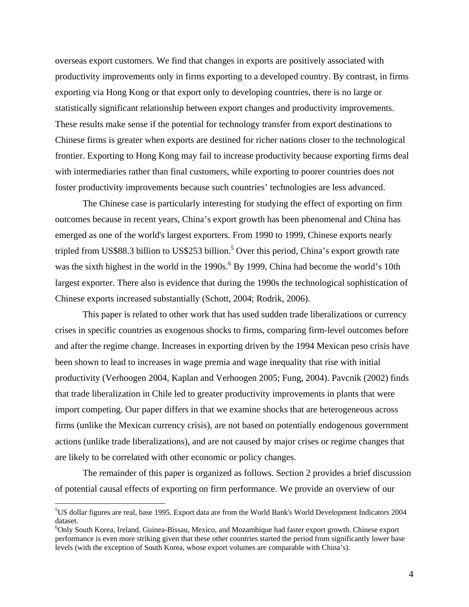overseas export customers. We find that changes in exports are positively associated with productivity improvements only in firms exporting to a developed country. By contrast, in firms exporting via Hong Kong or that export only to developing countries, there is no large or statistically significant relationship between export changes and productivity improvements. These results make sense if the potential for technology transfer from export destinations to Chinese firms is greater when exports are destined for richer nations closer to the technological frontier. Exporting to Hong Kong may fail to increase productivity because exporting firms deal with intermediaries rather than final customers, while exporting to poorer countries does not foster productivity improvements because such countries' technologies are less advanced.

The Chinese case is particularly interesting for studying the effect of exporting on firm outcomes because in recent years, China's export growth has been phenomenal and China has emerged as one of the world's largest exporters. From 1990 to 1999, Chinese exports nearly tripled from US\$88.3 billion to US\$253 billion.<sup>5</sup> Over this period, China's export growth rate was the sixth highest in the world in the 1990s.<sup>6</sup> By 1999, China had become the world's 10th largest exporter. There also is evidence that during the 1990s the technological sophistication of Chinese exports increased substantially (Schott, 2004; Rodrik, 2006).

This paper is related to other work that has used sudden trade liberalizations or currency crises in specific countries as exogenous shocks to firms, comparing firm-level outcomes before and after the regime change. Increases in exporting driven by the 1994 Mexican peso crisis have been shown to lead to increases in wage premia and wage inequality that rise with initial productivity (Verhoogen 2004, Kaplan and Verhoogen 2005; Fung, 2004). Pavcnik (2002) finds that trade liberalization in Chile led to greater productivity improvements in plants that were import competing. Our paper differs in that we examine shocks that are heterogeneous across firms (unlike the Mexican currency crisis), are not based on potentially endogenous government actions (unlike trade liberalizations), and are not caused by major crises or regime changes that are likely to be correlated with other economic or policy changes.

The remainder of this paper is organized as follows. Section 2 provides a brief discussion of potential causal effects of exporting on firm performance. We provide an overview of our

<sup>5</sup> US dollar figures are real, base 1995. Export data are from the World Bank's World Development Indicators 2004 dataset.

<sup>6</sup> Only South Korea, Ireland, Guinea-Bissau, Mexico, and Mozambique had faster export growth. Chinese export performance is even more striking given that these other countries started the period from significantly lower base levels (with the exception of South Korea, whose export volumes are comparable with China's).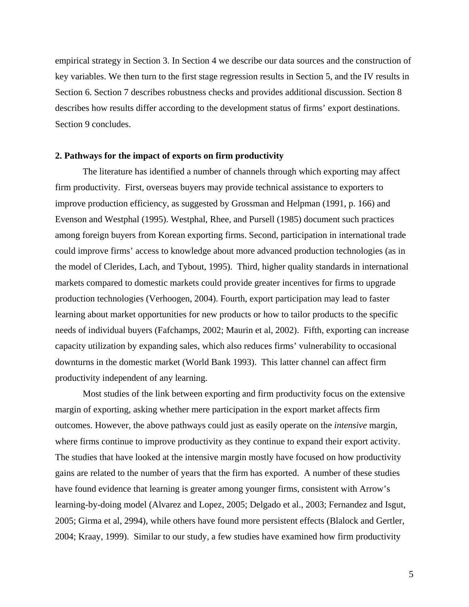empirical strategy in Section 3. In Section 4 we describe our data sources and the construction of key variables. We then turn to the first stage regression results in Section 5, and the IV results in Section 6. Section 7 describes robustness checks and provides additional discussion. Section 8 describes how results differ according to the development status of firms' export destinations. Section 9 concludes.

#### **2. Pathways for the impact of exports on firm productivity**

The literature has identified a number of channels through which exporting may affect firm productivity. First, overseas buyers may provide technical assistance to exporters to improve production efficiency, as suggested by Grossman and Helpman (1991, p. 166) and Evenson and Westphal (1995). Westphal, Rhee, and Pursell (1985) document such practices among foreign buyers from Korean exporting firms. Second, participation in international trade could improve firms' access to knowledge about more advanced production technologies (as in the model of Clerides, Lach, and Tybout, 1995). Third, higher quality standards in international markets compared to domestic markets could provide greater incentives for firms to upgrade production technologies (Verhoogen, 2004). Fourth, export participation may lead to faster learning about market opportunities for new products or how to tailor products to the specific needs of individual buyers (Fafchamps, 2002; Maurin et al, 2002). Fifth, exporting can increase capacity utilization by expanding sales, which also reduces firms' vulnerability to occasional downturns in the domestic market (World Bank 1993). This latter channel can affect firm productivity independent of any learning.

Most studies of the link between exporting and firm productivity focus on the extensive margin of exporting, asking whether mere participation in the export market affects firm outcomes. However, the above pathways could just as easily operate on the *intensive* margin, where firms continue to improve productivity as they continue to expand their export activity. The studies that have looked at the intensive margin mostly have focused on how productivity gains are related to the number of years that the firm has exported. A number of these studies have found evidence that learning is greater among younger firms, consistent with Arrow's learning-by-doing model (Alvarez and Lopez, 2005; Delgado et al., 2003; Fernandez and Isgut, 2005; Girma et al, 2994), while others have found more persistent effects (Blalock and Gertler, 2004; Kraay, 1999). Similar to our study, a few studies have examined how firm productivity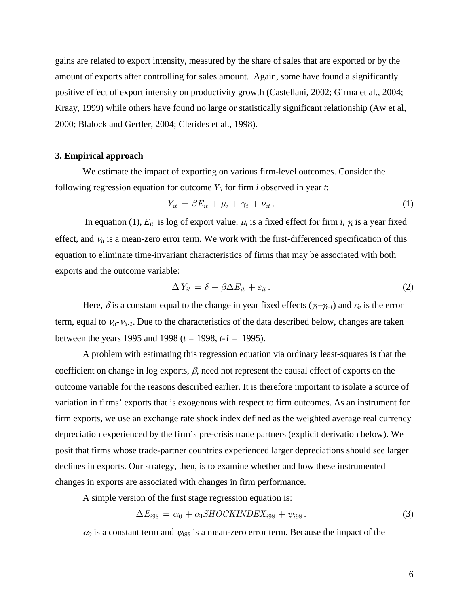gains are related to export intensity, measured by the share of sales that are exported or by the amount of exports after controlling for sales amount. Again, some have found a significantly positive effect of export intensity on productivity growth (Castellani, 2002; Girma et al., 2004; Kraay, 1999) while others have found no large or statistically significant relationship (Aw et al, 2000; Blalock and Gertler, 2004; Clerides et al., 1998).

#### **3. Empirical approach**

We estimate the impact of exporting on various firm-level outcomes. Consider the following regression equation for outcome  $Y_{it}$  for firm *i* observed in year *t*:

$$
Y_{it} = \beta E_{it} + \mu_i + \gamma_t + \nu_{it}.
$$
\n<sup>(1)</sup>

In equation (1),  $E_{it}$  is log of export value.  $\mu_i$  is a fixed effect for firm *i*,  $\gamma_i$  is a year fixed effect, and  $v_{it}$  is a mean-zero error term. We work with the first-differenced specification of this equation to eliminate time-invariant characteristics of firms that may be associated with both exports and the outcome variable:

$$
\Delta Y_{it} = \delta + \beta \Delta E_{it} + \varepsilon_{it} \,. \tag{2}
$$

Here,  $\delta$  is a constant equal to the change in year fixed effects ( $\gamma_t$ − $\gamma_{t-1}$ ) and  $\varepsilon_{it}$  is the error term, equal to  $v_{it}v_{it-1}$ . Due to the characteristics of the data described below, changes are taken between the years 1995 and 1998 (*t =* 1998, *t-1* = 1995).

A problem with estimating this regression equation via ordinary least-squares is that the coefficient on change in log exports,  $\beta$ , need not represent the causal effect of exports on the outcome variable for the reasons described earlier. It is therefore important to isolate a source of variation in firms' exports that is exogenous with respect to firm outcomes. As an instrument for firm exports, we use an exchange rate shock index defined as the weighted average real currency depreciation experienced by the firm's pre-crisis trade partners (explicit derivation below). We posit that firms whose trade-partner countries experienced larger depreciations should see larger declines in exports. Our strategy, then, is to examine whether and how these instrumented changes in exports are associated with changes in firm performance.

A simple version of the first stage regression equation is:

$$
\Delta E_{i98} = \alpha_0 + \alpha_1 SHOCKINDER_{i98} + \psi_{i98}.
$$
\n(3)

 $\alpha_0$  is a constant term and  $\psi_{i98}$  is a mean-zero error term. Because the impact of the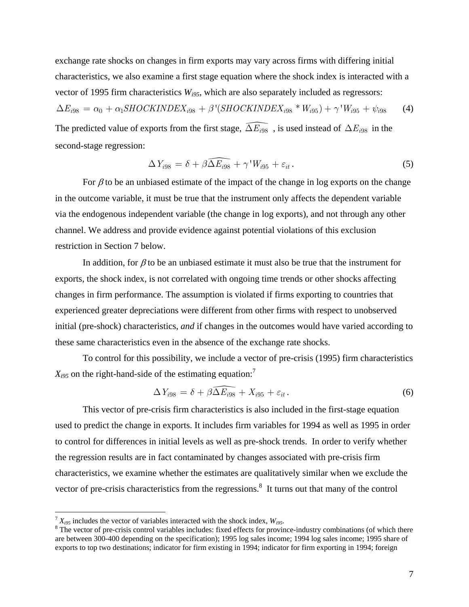exchange rate shocks on changes in firm exports may vary across firms with differing initial characteristics, we also examine a first stage equation where the shock index is interacted with a vector of 1995 firm characteristics *Wi95*, which are also separately included as regressors:

$$
\Delta E_{i98} = \alpha_0 + \alpha_1 SHOCKINDEX_{i98} + \beta'(SHOCKINDEX_{i98} * W_{i95}) + \gamma' W_{i95} + \psi_{i98}
$$
 (4)

The predicted value of exports from the first stage,  $\widehat{\Delta E_{i98}}$  , is used instead of  $\Delta E_{i98}$  in the second-stage regression:

$$
\Delta Y_{i98} = \delta + \beta \widehat{\Delta E_{i98}} + \gamma W_{i95} + \varepsilon_{it}.
$$
\n(5)

For  $\beta$  to be an unbiased estimate of the impact of the change in log exports on the change in the outcome variable, it must be true that the instrument only affects the dependent variable via the endogenous independent variable (the change in log exports), and not through any other channel. We address and provide evidence against potential violations of this exclusion restriction in Section 7 below.

In addition, for  $\beta$  to be an unbiased estimate it must also be true that the instrument for exports, the shock index, is not correlated with ongoing time trends or other shocks affecting changes in firm performance. The assumption is violated if firms exporting to countries that experienced greater depreciations were different from other firms with respect to unobserved initial (pre-shock) characteristics, *and* if changes in the outcomes would have varied according to these same characteristics even in the absence of the exchange rate shocks.

To control for this possibility, we include a vector of pre-crisis (1995) firm characteristics  $X_{i95}$  on the right-hand-side of the estimating equation:<sup>7</sup>

$$
\Delta Y_{i98} = \delta + \beta \widehat{\Delta E_{i98}} + X_{i95} + \varepsilon_{it}.
$$
 (6)

This vector of pre-crisis firm characteristics is also included in the first-stage equation used to predict the change in exports. It includes firm variables for 1994 as well as 1995 in order to control for differences in initial levels as well as pre-shock trends. In order to verify whether the regression results are in fact contaminated by changes associated with pre-crisis firm characteristics, we examine whether the estimates are qualitatively similar when we exclude the vector of pre-crisis characteristics from the regressions.<sup>8</sup> It turns out that many of the control

 $\overline{a}$ 

 $T_{X_{i95}}$  includes the vector of variables interacted with the shock index,  $W_{i95}$ .

<sup>&</sup>lt;sup>8</sup>The vector of pre-crisis control variables includes: fixed effects for province-industry combinations (of which there are between 300-400 depending on the specification); 1995 log sales income; 1994 log sales income; 1995 share of exports to top two destinations; indicator for firm existing in 1994; indicator for firm exporting in 1994; foreign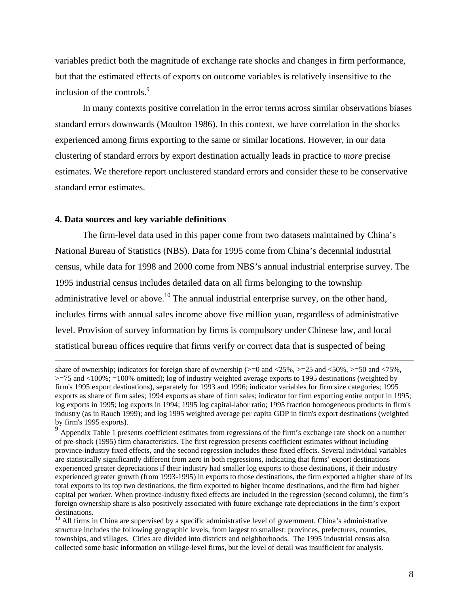variables predict both the magnitude of exchange rate shocks and changes in firm performance, but that the estimated effects of exports on outcome variables is relatively insensitive to the inclusion of the controls.<sup>9</sup>

In many contexts positive correlation in the error terms across similar observations biases standard errors downwards (Moulton 1986). In this context, we have correlation in the shocks experienced among firms exporting to the same or similar locations. However, in our data clustering of standard errors by export destination actually leads in practice to *more* precise estimates. We therefore report unclustered standard errors and consider these to be conservative standard error estimates.

#### **4. Data sources and key variable definitions**

The firm-level data used in this paper come from two datasets maintained by China's National Bureau of Statistics (NBS). Data for 1995 come from China's decennial industrial census, while data for 1998 and 2000 come from NBS's annual industrial enterprise survey. The 1995 industrial census includes detailed data on all firms belonging to the township administrative level or above.<sup>10</sup> The annual industrial enterprise survey, on the other hand, includes firms with annual sales income above five million yuan, regardless of administrative level. Provision of survey information by firms is compulsory under Chinese law, and local statistical bureau offices require that firms verify or correct data that is suspected of being

share of ownership; indicators for foreign share of ownership ( $>=0$  and  $\langle 25\%, \rangle = 25$  and  $\langle 50\%, \rangle = 50$  and  $\langle 75\%, \rangle$ >=75 and <100%; =100% omitted); log of industry weighted average exports to 1995 destinations (weighted by firm's 1995 export destinations), separately for 1993 and 1996; indicator variables for firm size categories; 1995 exports as share of firm sales; 1994 exports as share of firm sales; indicator for firm exporting entire output in 1995; log exports in 1995; log exports in 1994; 1995 log capital-labor ratio; 1995 fraction homogeneous products in firm's industry (as in Rauch 1999); and log 1995 weighted average per capita GDP in firm's export destinations (weighted by firm's 1995 exports).

 $9<sup>o</sup>$  Appendix Table 1 presents coefficient estimates from regressions of the firm's exchange rate shock on a number of pre-shock (1995) firm characteristics. The first regression presents coefficient estimates without including province-industry fixed effects, and the second regression includes these fixed effects. Several individual variables are statistically significantly different from zero in both regressions, indicating that firms' export destinations experienced greater depreciations if their industry had smaller log exports to those destinations, if their industry experienced greater growth (from 1993-1995) in exports to those destinations, the firm exported a higher share of its total exports to its top two destinations, the firm exported to higher income destinations, and the firm had higher capital per worker. When province-industry fixed effects are included in the regression (second column), the firm's foreign ownership share is also positively associated with future exchange rate depreciations in the firm's export destinations.

 $10$  All firms in China are supervised by a specific administrative level of government. China's administrative structure includes the following geographic levels, from largest to smallest: provinces, prefectures, counties, townships, and villages. Cities are divided into districts and neighborhoods. The 1995 industrial census also collected some basic information on village-level firms, but the level of detail was insufficient for analysis.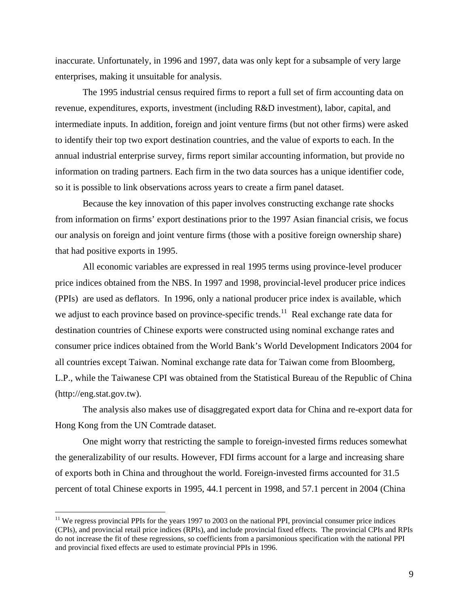inaccurate. Unfortunately, in 1996 and 1997, data was only kept for a subsample of very large enterprises, making it unsuitable for analysis.

The 1995 industrial census required firms to report a full set of firm accounting data on revenue, expenditures, exports, investment (including R&D investment), labor, capital, and intermediate inputs. In addition, foreign and joint venture firms (but not other firms) were asked to identify their top two export destination countries, and the value of exports to each. In the annual industrial enterprise survey, firms report similar accounting information, but provide no information on trading partners. Each firm in the two data sources has a unique identifier code, so it is possible to link observations across years to create a firm panel dataset.

Because the key innovation of this paper involves constructing exchange rate shocks from information on firms' export destinations prior to the 1997 Asian financial crisis, we focus our analysis on foreign and joint venture firms (those with a positive foreign ownership share) that had positive exports in 1995.

All economic variables are expressed in real 1995 terms using province-level producer price indices obtained from the NBS. In 1997 and 1998, provincial-level producer price indices (PPIs) are used as deflators. In 1996, only a national producer price index is available, which we adjust to each province based on province-specific trends.<sup>11</sup> Real exchange rate data for destination countries of Chinese exports were constructed using nominal exchange rates and consumer price indices obtained from the World Bank's World Development Indicators 2004 for all countries except Taiwan. Nominal exchange rate data for Taiwan come from Bloomberg, L.P., while the Taiwanese CPI was obtained from the Statistical Bureau of the Republic of China (http://eng.stat.gov.tw).

The analysis also makes use of disaggregated export data for China and re-export data for Hong Kong from the UN Comtrade dataset.

One might worry that restricting the sample to foreign-invested firms reduces somewhat the generalizability of our results. However, FDI firms account for a large and increasing share of exports both in China and throughout the world. Foreign-invested firms accounted for 31.5 percent of total Chinese exports in 1995, 44.1 percent in 1998, and 57.1 percent in 2004 (China

<u>.</u>

 $11$  We regress provincial PPIs for the years 1997 to 2003 on the national PPI, provincial consumer price indices (CPIs), and provincial retail price indices (RPIs), and include provincial fixed effects. The provincial CPIs and RPIs do not increase the fit of these regressions, so coefficients from a parsimonious specification with the national PPI and provincial fixed effects are used to estimate provincial PPIs in 1996.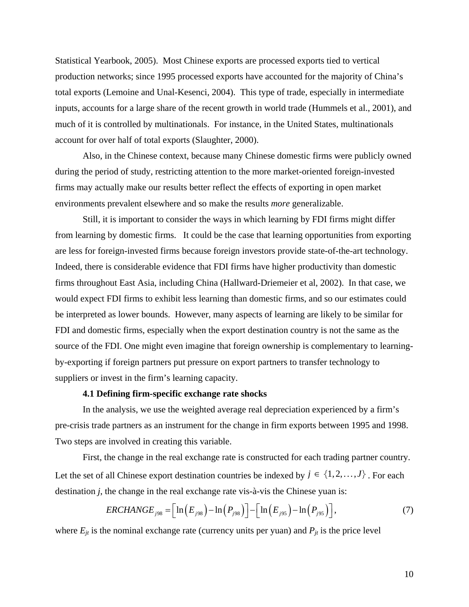Statistical Yearbook, 2005). Most Chinese exports are processed exports tied to vertical production networks; since 1995 processed exports have accounted for the majority of China's total exports (Lemoine and Unal-Kesenci, 2004). This type of trade, especially in intermediate inputs, accounts for a large share of the recent growth in world trade (Hummels et al., 2001), and much of it is controlled by multinationals. For instance, in the United States, multinationals account for over half of total exports (Slaughter, 2000).

Also, in the Chinese context, because many Chinese domestic firms were publicly owned during the period of study, restricting attention to the more market-oriented foreign-invested firms may actually make our results better reflect the effects of exporting in open market environments prevalent elsewhere and so make the results *more* generalizable.

 Still, it is important to consider the ways in which learning by FDI firms might differ from learning by domestic firms. It could be the case that learning opportunities from exporting are less for foreign-invested firms because foreign investors provide state-of-the-art technology. Indeed, there is considerable evidence that FDI firms have higher productivity than domestic firms throughout East Asia, including China (Hallward-Driemeier et al, 2002). In that case, we would expect FDI firms to exhibit less learning than domestic firms, and so our estimates could be interpreted as lower bounds. However, many aspects of learning are likely to be similar for FDI and domestic firms, especially when the export destination country is not the same as the source of the FDI. One might even imagine that foreign ownership is complementary to learningby-exporting if foreign partners put pressure on export partners to transfer technology to suppliers or invest in the firm's learning capacity.

#### **4.1 Defining firm-specific exchange rate shocks**

In the analysis, we use the weighted average real depreciation experienced by a firm's pre-crisis trade partners as an instrument for the change in firm exports between 1995 and 1998. Two steps are involved in creating this variable.

First, the change in the real exchange rate is constructed for each trading partner country. Let the set of all Chinese export destination countries be indexed by  $j \in \{1, 2, ..., J\}$ . For each destination *j*, the change in the real exchange rate vis-à-vis the Chinese yuan is:

$$
ERCHANGE_{j98} = \Big[ \ln \Big( E_{j98} \Big) - \ln \Big( P_{j98} \Big) \Big] - \Big[ \ln \Big( E_{j95} \Big) - \ln \Big( P_{j95} \Big) \Big], \tag{7}
$$

where  $E_{it}$  is the nominal exchange rate (currency units per yuan) and  $P_{it}$  is the price level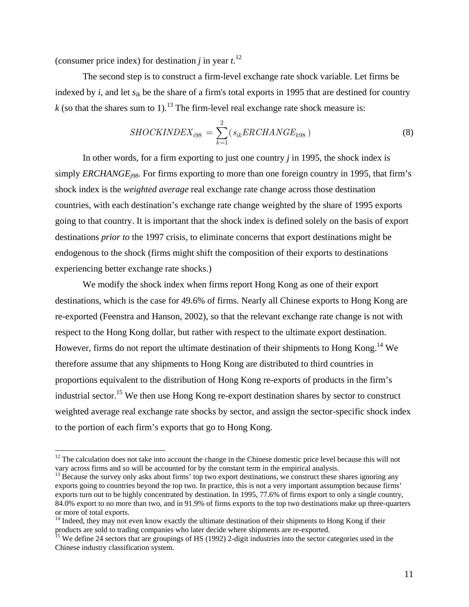(consumer price index) for destination *j* in year  $t$ <sup>12</sup>

 $\overline{a}$ 

The second step is to construct a firm-level exchange rate shock variable. Let firms be indexed by *i*, and let *sik* be the share of a firm's total exports in 1995 that are destined for country  $k$  (so that the shares sum to 1).<sup>13</sup> The firm-level real exchange rate shock measure is:

$$
SHOCKINDER_{i98} = \sum_{k=1}^{2} (s_{ik}ERCHANGE_{k98})
$$
\n(8)

In other words, for a firm exporting to just one country *j* in 1995, the shock index is simply *ERCHANGEj98*. For firms exporting to more than one foreign country in 1995, that firm's shock index is the *weighted average* real exchange rate change across those destination countries, with each destination's exchange rate change weighted by the share of 1995 exports going to that country. It is important that the shock index is defined solely on the basis of export destinations *prior to* the 1997 crisis, to eliminate concerns that export destinations might be endogenous to the shock (firms might shift the composition of their exports to destinations experiencing better exchange rate shocks.)

We modify the shock index when firms report Hong Kong as one of their export destinations, which is the case for 49.6% of firms. Nearly all Chinese exports to Hong Kong are re-exported (Feenstra and Hanson, 2002), so that the relevant exchange rate change is not with respect to the Hong Kong dollar, but rather with respect to the ultimate export destination. However, firms do not report the ultimate destination of their shipments to Hong Kong.<sup>14</sup> We therefore assume that any shipments to Hong Kong are distributed to third countries in proportions equivalent to the distribution of Hong Kong re-exports of products in the firm's industrial sector.<sup>15</sup> We then use Hong Kong re-export destination shares by sector to construct weighted average real exchange rate shocks by sector, and assign the sector-specific shock index to the portion of each firm's exports that go to Hong Kong.

 $12$  The calculation does not take into account the change in the Chinese domestic price level because this will not vary across firms and so will be accounted for by the constant term in the empirical analysis.

 $^{13}$  Because the survey only asks about firms' top two export destinations, we construct these shares ignoring any exports going to countries beyond the top two. In practice, this is not a very important assumption because firms' exports turn out to be highly concentrated by destination. In 1995, 77.6% of firms export to only a single country, 84.0% export to no more than two, and in 91.9% of firms exports to the top two destinations make up three-quarters or more of total exports.

 $14$  Indeed, they may not even know exactly the ultimate destination of their shipments to Hong Kong if their products are sold to trading companies who later decide where shipments are re-exported.<br><sup>15</sup> We define 24 sectors that are groupings of HS (1992) 2-digit industries into the sector categories used in the

Chinese industry classification system.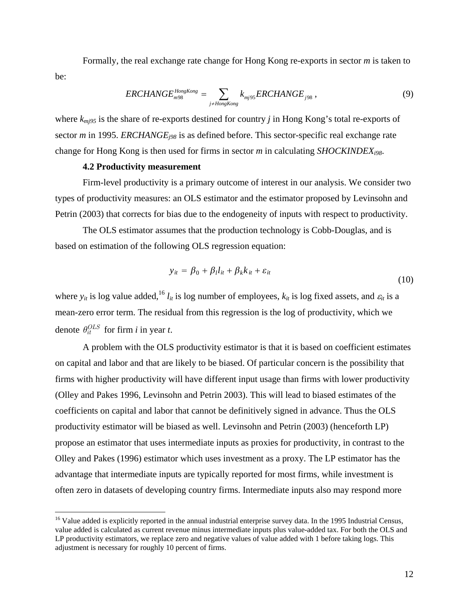Formally, the real exchange rate change for Hong Kong re-exports in sector *m* is taken to be:

$$
ERCHANGEm98HongKong = \sum_{j \neq HongKong} k_{mj95}ERCHANGEj98 , \qquad (9)
$$

where  $k_{mi95}$  is the share of re-exports destined for country *j* in Hong Kong's total re-exports of sector *m* in 1995. *ERCHANGE<sub>i98</sub>* is as defined before. This sector-specific real exchange rate change for Hong Kong is then used for firms in sector *m* in calculating *SHOCKINDEXi98*.

#### **4.2 Productivity measurement**

 $\overline{a}$ 

Firm-level productivity is a primary outcome of interest in our analysis. We consider two types of productivity measures: an OLS estimator and the estimator proposed by Levinsohn and Petrin (2003) that corrects for bias due to the endogeneity of inputs with respect to productivity.

The OLS estimator assumes that the production technology is Cobb-Douglas, and is based on estimation of the following OLS regression equation:

$$
y_{it} = \beta_0 + \beta_l l_{it} + \beta_k k_{it} + \varepsilon_{it}
$$
\n(10)

where  $y_{it}$  is log value added,<sup>16</sup>  $l_{it}$  is log number of employees,  $k_{it}$  is log fixed assets, and  $\varepsilon_{it}$  is a mean-zero error term. The residual from this regression is the log of productivity, which we denote  $\theta_{it}^{OLS}$  for firm *i* in year *t*.

A problem with the OLS productivity estimator is that it is based on coefficient estimates on capital and labor and that are likely to be biased. Of particular concern is the possibility that firms with higher productivity will have different input usage than firms with lower productivity (Olley and Pakes 1996, Levinsohn and Petrin 2003). This will lead to biased estimates of the coefficients on capital and labor that cannot be definitively signed in advance. Thus the OLS productivity estimator will be biased as well. Levinsohn and Petrin (2003) (henceforth LP) propose an estimator that uses intermediate inputs as proxies for productivity, in contrast to the Olley and Pakes (1996) estimator which uses investment as a proxy. The LP estimator has the advantage that intermediate inputs are typically reported for most firms, while investment is often zero in datasets of developing country firms. Intermediate inputs also may respond more

 $16$  Value added is explicitly reported in the annual industrial enterprise survey data. In the 1995 Industrial Census, value added is calculated as current revenue minus intermediate inputs plus value-added tax. For both the OLS and LP productivity estimators, we replace zero and negative values of value added with 1 before taking logs. This adjustment is necessary for roughly 10 percent of firms.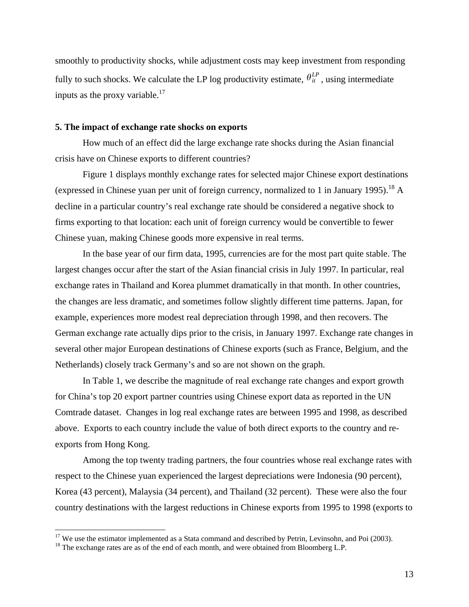smoothly to productivity shocks, while adjustment costs may keep investment from responding fully to such shocks. We calculate the LP log productivity estimate,  $\theta_i^L$ , using intermediate inputs as the proxy variable. $^{17}$ 

#### **5. The impact of exchange rate shocks on exports**

How much of an effect did the large exchange rate shocks during the Asian financial crisis have on Chinese exports to different countries?

Figure 1 displays monthly exchange rates for selected major Chinese export destinations (expressed in Chinese yuan per unit of foreign currency, normalized to 1 in January 1995).<sup>18</sup> A decline in a particular country's real exchange rate should be considered a negative shock to firms exporting to that location: each unit of foreign currency would be convertible to fewer Chinese yuan, making Chinese goods more expensive in real terms.

In the base year of our firm data, 1995, currencies are for the most part quite stable. The largest changes occur after the start of the Asian financial crisis in July 1997. In particular, real exchange rates in Thailand and Korea plummet dramatically in that month. In other countries, the changes are less dramatic, and sometimes follow slightly different time patterns. Japan, for example, experiences more modest real depreciation through 1998, and then recovers. The German exchange rate actually dips prior to the crisis, in January 1997. Exchange rate changes in several other major European destinations of Chinese exports (such as France, Belgium, and the Netherlands) closely track Germany's and so are not shown on the graph.

In Table 1, we describe the magnitude of real exchange rate changes and export growth for China's top 20 export partner countries using Chinese export data as reported in the UN Comtrade dataset. Changes in log real exchange rates are between 1995 and 1998, as described above. Exports to each country include the value of both direct exports to the country and reexports from Hong Kong.

Among the top twenty trading partners, the four countries whose real exchange rates with respect to the Chinese yuan experienced the largest depreciations were Indonesia (90 percent), Korea (43 percent), Malaysia (34 percent), and Thailand (32 percent). These were also the four country destinations with the largest reductions in Chinese exports from 1995 to 1998 (exports to

 $\overline{a}$ 

 $17$  We use the estimator implemented as a Stata command and described by Petrin, Levinsohn, and Poi (2003).

<sup>&</sup>lt;sup>18</sup> The exchange rates are as of the end of each month, and were obtained from Bloomberg L.P.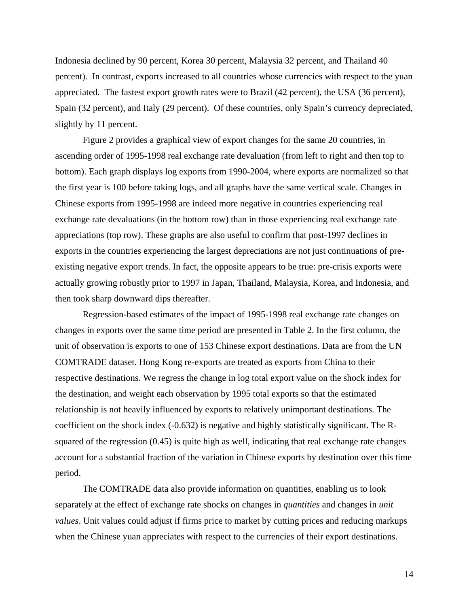Indonesia declined by 90 percent, Korea 30 percent, Malaysia 32 percent, and Thailand 40 percent). In contrast, exports increased to all countries whose currencies with respect to the yuan appreciated. The fastest export growth rates were to Brazil (42 percent), the USA (36 percent), Spain (32 percent), and Italy (29 percent). Of these countries, only Spain's currency depreciated, slightly by 11 percent.

Figure 2 provides a graphical view of export changes for the same 20 countries, in ascending order of 1995-1998 real exchange rate devaluation (from left to right and then top to bottom). Each graph displays log exports from 1990-2004, where exports are normalized so that the first year is 100 before taking logs, and all graphs have the same vertical scale. Changes in Chinese exports from 1995-1998 are indeed more negative in countries experiencing real exchange rate devaluations (in the bottom row) than in those experiencing real exchange rate appreciations (top row). These graphs are also useful to confirm that post-1997 declines in exports in the countries experiencing the largest depreciations are not just continuations of preexisting negative export trends. In fact, the opposite appears to be true: pre-crisis exports were actually growing robustly prior to 1997 in Japan, Thailand, Malaysia, Korea, and Indonesia, and then took sharp downward dips thereafter.

Regression-based estimates of the impact of 1995-1998 real exchange rate changes on changes in exports over the same time period are presented in Table 2. In the first column, the unit of observation is exports to one of 153 Chinese export destinations. Data are from the UN COMTRADE dataset. Hong Kong re-exports are treated as exports from China to their respective destinations. We regress the change in log total export value on the shock index for the destination, and weight each observation by 1995 total exports so that the estimated relationship is not heavily influenced by exports to relatively unimportant destinations. The coefficient on the shock index (-0.632) is negative and highly statistically significant. The Rsquared of the regression (0.45) is quite high as well, indicating that real exchange rate changes account for a substantial fraction of the variation in Chinese exports by destination over this time period.

The COMTRADE data also provide information on quantities, enabling us to look separately at the effect of exchange rate shocks on changes in *quantities* and changes in *unit values*. Unit values could adjust if firms price to market by cutting prices and reducing markups when the Chinese yuan appreciates with respect to the currencies of their export destinations.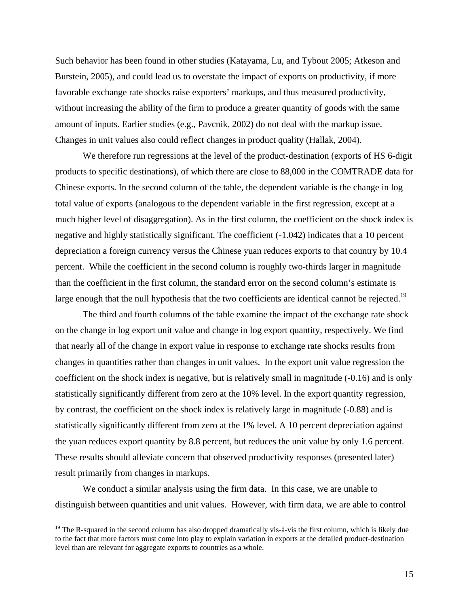Such behavior has been found in other studies (Katayama, Lu, and Tybout 2005; Atkeson and Burstein, 2005), and could lead us to overstate the impact of exports on productivity, if more favorable exchange rate shocks raise exporters' markups, and thus measured productivity, without increasing the ability of the firm to produce a greater quantity of goods with the same amount of inputs. Earlier studies (e.g., Pavcnik, 2002) do not deal with the markup issue. Changes in unit values also could reflect changes in product quality (Hallak, 2004).

We therefore run regressions at the level of the product-destination (exports of HS 6-digit products to specific destinations), of which there are close to 88,000 in the COMTRADE data for Chinese exports. In the second column of the table, the dependent variable is the change in log total value of exports (analogous to the dependent variable in the first regression, except at a much higher level of disaggregation). As in the first column, the coefficient on the shock index is negative and highly statistically significant. The coefficient (-1.042) indicates that a 10 percent depreciation a foreign currency versus the Chinese yuan reduces exports to that country by 10.4 percent. While the coefficient in the second column is roughly two-thirds larger in magnitude than the coefficient in the first column, the standard error on the second column's estimate is large enough that the null hypothesis that the two coefficients are identical cannot be rejected.<sup>19</sup>

The third and fourth columns of the table examine the impact of the exchange rate shock on the change in log export unit value and change in log export quantity, respectively. We find that nearly all of the change in export value in response to exchange rate shocks results from changes in quantities rather than changes in unit values. In the export unit value regression the coefficient on the shock index is negative, but is relatively small in magnitude (-0.16) and is only statistically significantly different from zero at the 10% level. In the export quantity regression, by contrast, the coefficient on the shock index is relatively large in magnitude (-0.88) and is statistically significantly different from zero at the 1% level. A 10 percent depreciation against the yuan reduces export quantity by 8.8 percent, but reduces the unit value by only 1.6 percent. These results should alleviate concern that observed productivity responses (presented later) result primarily from changes in markups.

We conduct a similar analysis using the firm data. In this case, we are unable to distinguish between quantities and unit values. However, with firm data, we are able to control

<sup>&</sup>lt;sup>19</sup> The R-squared in the second column has also dropped dramatically vis- $\hat{a}$ -vis the first column, which is likely due to the fact that more factors must come into play to explain variation in exports at the detailed product-destination level than are relevant for aggregate exports to countries as a whole.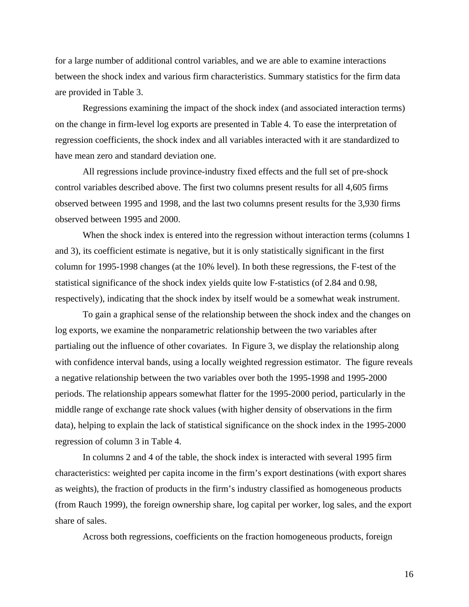for a large number of additional control variables, and we are able to examine interactions between the shock index and various firm characteristics. Summary statistics for the firm data are provided in Table 3.

Regressions examining the impact of the shock index (and associated interaction terms) on the change in firm-level log exports are presented in Table 4. To ease the interpretation of regression coefficients, the shock index and all variables interacted with it are standardized to have mean zero and standard deviation one.

All regressions include province-industry fixed effects and the full set of pre-shock control variables described above. The first two columns present results for all 4,605 firms observed between 1995 and 1998, and the last two columns present results for the 3,930 firms observed between 1995 and 2000.

When the shock index is entered into the regression without interaction terms (columns 1) and 3), its coefficient estimate is negative, but it is only statistically significant in the first column for 1995-1998 changes (at the 10% level). In both these regressions, the F-test of the statistical significance of the shock index yields quite low F-statistics (of 2.84 and 0.98, respectively), indicating that the shock index by itself would be a somewhat weak instrument.

To gain a graphical sense of the relationship between the shock index and the changes on log exports, we examine the nonparametric relationship between the two variables after partialing out the influence of other covariates. In Figure 3, we display the relationship along with confidence interval bands, using a locally weighted regression estimator. The figure reveals a negative relationship between the two variables over both the 1995-1998 and 1995-2000 periods. The relationship appears somewhat flatter for the 1995-2000 period, particularly in the middle range of exchange rate shock values (with higher density of observations in the firm data), helping to explain the lack of statistical significance on the shock index in the 1995-2000 regression of column 3 in Table 4.

In columns 2 and 4 of the table, the shock index is interacted with several 1995 firm characteristics: weighted per capita income in the firm's export destinations (with export shares as weights), the fraction of products in the firm's industry classified as homogeneous products (from Rauch 1999), the foreign ownership share, log capital per worker, log sales, and the export share of sales.

Across both regressions, coefficients on the fraction homogeneous products, foreign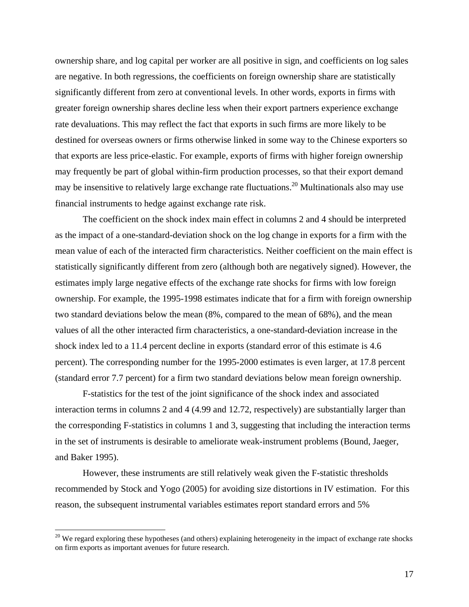ownership share, and log capital per worker are all positive in sign, and coefficients on log sales are negative. In both regressions, the coefficients on foreign ownership share are statistically significantly different from zero at conventional levels. In other words, exports in firms with greater foreign ownership shares decline less when their export partners experience exchange rate devaluations. This may reflect the fact that exports in such firms are more likely to be destined for overseas owners or firms otherwise linked in some way to the Chinese exporters so that exports are less price-elastic. For example, exports of firms with higher foreign ownership may frequently be part of global within-firm production processes, so that their export demand may be insensitive to relatively large exchange rate fluctuations.<sup>20</sup> Multinationals also may use financial instruments to hedge against exchange rate risk.

The coefficient on the shock index main effect in columns 2 and 4 should be interpreted as the impact of a one-standard-deviation shock on the log change in exports for a firm with the mean value of each of the interacted firm characteristics. Neither coefficient on the main effect is statistically significantly different from zero (although both are negatively signed). However, the estimates imply large negative effects of the exchange rate shocks for firms with low foreign ownership. For example, the 1995-1998 estimates indicate that for a firm with foreign ownership two standard deviations below the mean (8%, compared to the mean of 68%), and the mean values of all the other interacted firm characteristics, a one-standard-deviation increase in the shock index led to a 11.4 percent decline in exports (standard error of this estimate is 4.6 percent). The corresponding number for the 1995-2000 estimates is even larger, at 17.8 percent (standard error 7.7 percent) for a firm two standard deviations below mean foreign ownership.

F-statistics for the test of the joint significance of the shock index and associated interaction terms in columns 2 and 4 (4.99 and 12.72, respectively) are substantially larger than the corresponding F-statistics in columns 1 and 3, suggesting that including the interaction terms in the set of instruments is desirable to ameliorate weak-instrument problems (Bound, Jaeger, and Baker 1995).

However, these instruments are still relatively weak given the F-statistic thresholds recommended by Stock and Yogo (2005) for avoiding size distortions in IV estimation. For this reason, the subsequent instrumental variables estimates report standard errors and 5%

 $\overline{a}$ 

 $20$  We regard exploring these hypotheses (and others) explaining heterogeneity in the impact of exchange rate shocks on firm exports as important avenues for future research.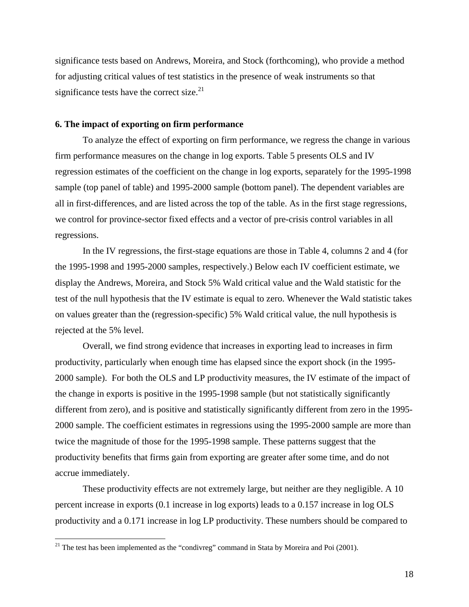significance tests based on Andrews, Moreira, and Stock (forthcoming), who provide a method for adjusting critical values of test statistics in the presence of weak instruments so that significance tests have the correct size. $21$ 

#### **6. The impact of exporting on firm performance**

 To analyze the effect of exporting on firm performance, we regress the change in various firm performance measures on the change in log exports. Table 5 presents OLS and IV regression estimates of the coefficient on the change in log exports, separately for the 1995-1998 sample (top panel of table) and 1995-2000 sample (bottom panel). The dependent variables are all in first-differences, and are listed across the top of the table. As in the first stage regressions, we control for province-sector fixed effects and a vector of pre-crisis control variables in all regressions.

In the IV regressions, the first-stage equations are those in Table 4, columns 2 and 4 (for the 1995-1998 and 1995-2000 samples, respectively.) Below each IV coefficient estimate, we display the Andrews, Moreira, and Stock 5% Wald critical value and the Wald statistic for the test of the null hypothesis that the IV estimate is equal to zero. Whenever the Wald statistic takes on values greater than the (regression-specific) 5% Wald critical value, the null hypothesis is rejected at the 5% level.

 Overall, we find strong evidence that increases in exporting lead to increases in firm productivity, particularly when enough time has elapsed since the export shock (in the 1995- 2000 sample). For both the OLS and LP productivity measures, the IV estimate of the impact of the change in exports is positive in the 1995-1998 sample (but not statistically significantly different from zero), and is positive and statistically significantly different from zero in the 1995- 2000 sample. The coefficient estimates in regressions using the 1995-2000 sample are more than twice the magnitude of those for the 1995-1998 sample. These patterns suggest that the productivity benefits that firms gain from exporting are greater after some time, and do not accrue immediately.

 These productivity effects are not extremely large, but neither are they negligible. A 10 percent increase in exports (0.1 increase in log exports) leads to a 0.157 increase in log OLS productivity and a 0.171 increase in log LP productivity. These numbers should be compared to

 $\overline{a}$ 

<sup>&</sup>lt;sup>21</sup> The test has been implemented as the "condivreg" command in Stata by Moreira and Poi  $(2001)$ .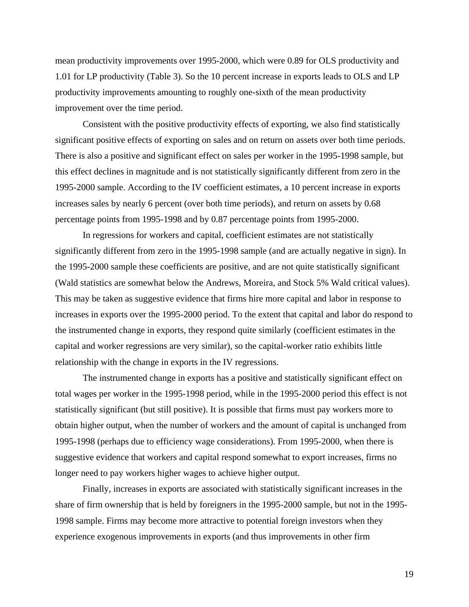mean productivity improvements over 1995-2000, which were 0.89 for OLS productivity and 1.01 for LP productivity (Table 3). So the 10 percent increase in exports leads to OLS and LP productivity improvements amounting to roughly one-sixth of the mean productivity improvement over the time period.

 Consistent with the positive productivity effects of exporting, we also find statistically significant positive effects of exporting on sales and on return on assets over both time periods. There is also a positive and significant effect on sales per worker in the 1995-1998 sample, but this effect declines in magnitude and is not statistically significantly different from zero in the 1995-2000 sample. According to the IV coefficient estimates, a 10 percent increase in exports increases sales by nearly 6 percent (over both time periods), and return on assets by 0.68 percentage points from 1995-1998 and by 0.87 percentage points from 1995-2000.

 In regressions for workers and capital, coefficient estimates are not statistically significantly different from zero in the 1995-1998 sample (and are actually negative in sign). In the 1995-2000 sample these coefficients are positive, and are not quite statistically significant (Wald statistics are somewhat below the Andrews, Moreira, and Stock 5% Wald critical values). This may be taken as suggestive evidence that firms hire more capital and labor in response to increases in exports over the 1995-2000 period. To the extent that capital and labor do respond to the instrumented change in exports, they respond quite similarly (coefficient estimates in the capital and worker regressions are very similar), so the capital-worker ratio exhibits little relationship with the change in exports in the IV regressions.

 The instrumented change in exports has a positive and statistically significant effect on total wages per worker in the 1995-1998 period, while in the 1995-2000 period this effect is not statistically significant (but still positive). It is possible that firms must pay workers more to obtain higher output, when the number of workers and the amount of capital is unchanged from 1995-1998 (perhaps due to efficiency wage considerations). From 1995-2000, when there is suggestive evidence that workers and capital respond somewhat to export increases, firms no longer need to pay workers higher wages to achieve higher output.

 Finally, increases in exports are associated with statistically significant increases in the share of firm ownership that is held by foreigners in the 1995-2000 sample, but not in the 1995- 1998 sample. Firms may become more attractive to potential foreign investors when they experience exogenous improvements in exports (and thus improvements in other firm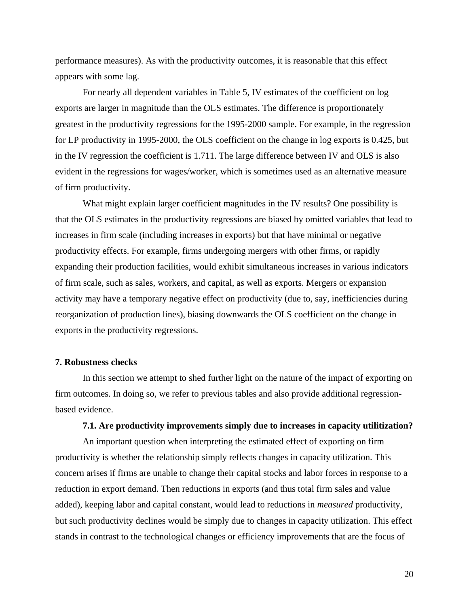performance measures). As with the productivity outcomes, it is reasonable that this effect appears with some lag.

For nearly all dependent variables in Table 5, IV estimates of the coefficient on log exports are larger in magnitude than the OLS estimates. The difference is proportionately greatest in the productivity regressions for the 1995-2000 sample. For example, in the regression for LP productivity in 1995-2000, the OLS coefficient on the change in log exports is 0.425, but in the IV regression the coefficient is 1.711. The large difference between IV and OLS is also evident in the regressions for wages/worker, which is sometimes used as an alternative measure of firm productivity.

 What might explain larger coefficient magnitudes in the IV results? One possibility is that the OLS estimates in the productivity regressions are biased by omitted variables that lead to increases in firm scale (including increases in exports) but that have minimal or negative productivity effects. For example, firms undergoing mergers with other firms, or rapidly expanding their production facilities, would exhibit simultaneous increases in various indicators of firm scale, such as sales, workers, and capital, as well as exports. Mergers or expansion activity may have a temporary negative effect on productivity (due to, say, inefficiencies during reorganization of production lines), biasing downwards the OLS coefficient on the change in exports in the productivity regressions.

#### **7. Robustness checks**

 In this section we attempt to shed further light on the nature of the impact of exporting on firm outcomes. In doing so, we refer to previous tables and also provide additional regressionbased evidence.

### **7.1. Are productivity improvements simply due to increases in capacity utilitization?**

 An important question when interpreting the estimated effect of exporting on firm productivity is whether the relationship simply reflects changes in capacity utilization. This concern arises if firms are unable to change their capital stocks and labor forces in response to a reduction in export demand. Then reductions in exports (and thus total firm sales and value added), keeping labor and capital constant, would lead to reductions in *measured* productivity, but such productivity declines would be simply due to changes in capacity utilization. This effect stands in contrast to the technological changes or efficiency improvements that are the focus of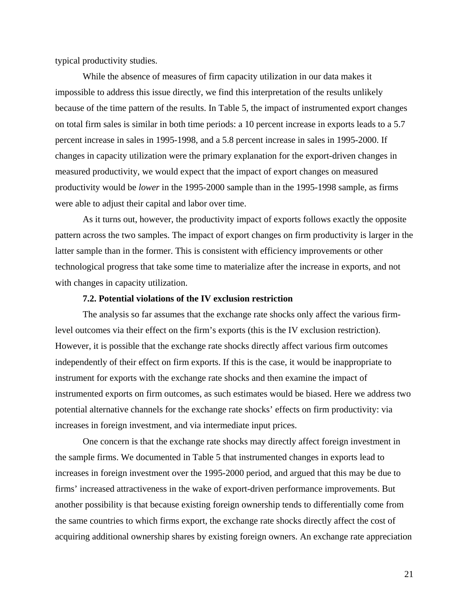typical productivity studies.

While the absence of measures of firm capacity utilization in our data makes it impossible to address this issue directly, we find this interpretation of the results unlikely because of the time pattern of the results. In Table 5, the impact of instrumented export changes on total firm sales is similar in both time periods: a 10 percent increase in exports leads to a 5.7 percent increase in sales in 1995-1998, and a 5.8 percent increase in sales in 1995-2000. If changes in capacity utilization were the primary explanation for the export-driven changes in measured productivity, we would expect that the impact of export changes on measured productivity would be *lower* in the 1995-2000 sample than in the 1995-1998 sample, as firms were able to adjust their capital and labor over time.

As it turns out, however, the productivity impact of exports follows exactly the opposite pattern across the two samples. The impact of export changes on firm productivity is larger in the latter sample than in the former. This is consistent with efficiency improvements or other technological progress that take some time to materialize after the increase in exports, and not with changes in capacity utilization.

#### **7.2. Potential violations of the IV exclusion restriction**

The analysis so far assumes that the exchange rate shocks only affect the various firmlevel outcomes via their effect on the firm's exports (this is the IV exclusion restriction). However, it is possible that the exchange rate shocks directly affect various firm outcomes independently of their effect on firm exports. If this is the case, it would be inappropriate to instrument for exports with the exchange rate shocks and then examine the impact of instrumented exports on firm outcomes, as such estimates would be biased. Here we address two potential alternative channels for the exchange rate shocks' effects on firm productivity: via increases in foreign investment, and via intermediate input prices.

One concern is that the exchange rate shocks may directly affect foreign investment in the sample firms. We documented in Table 5 that instrumented changes in exports lead to increases in foreign investment over the 1995-2000 period, and argued that this may be due to firms' increased attractiveness in the wake of export-driven performance improvements. But another possibility is that because existing foreign ownership tends to differentially come from the same countries to which firms export, the exchange rate shocks directly affect the cost of acquiring additional ownership shares by existing foreign owners. An exchange rate appreciation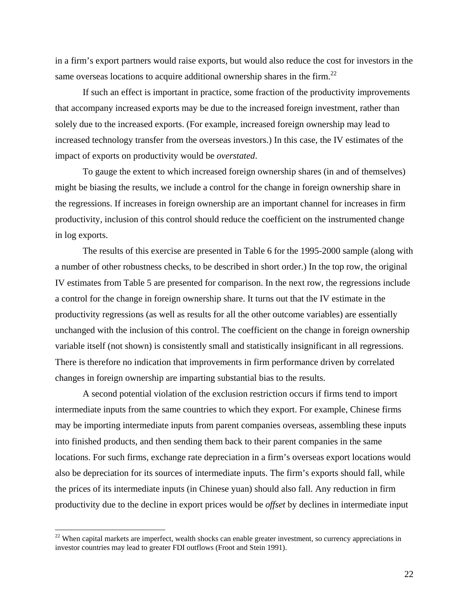in a firm's export partners would raise exports, but would also reduce the cost for investors in the same overseas locations to acquire additional ownership shares in the firm.<sup>22</sup>

If such an effect is important in practice, some fraction of the productivity improvements that accompany increased exports may be due to the increased foreign investment, rather than solely due to the increased exports. (For example, increased foreign ownership may lead to increased technology transfer from the overseas investors.) In this case, the IV estimates of the impact of exports on productivity would be *overstated*.

To gauge the extent to which increased foreign ownership shares (in and of themselves) might be biasing the results, we include a control for the change in foreign ownership share in the regressions. If increases in foreign ownership are an important channel for increases in firm productivity, inclusion of this control should reduce the coefficient on the instrumented change in log exports.

The results of this exercise are presented in Table 6 for the 1995-2000 sample (along with a number of other robustness checks, to be described in short order.) In the top row, the original IV estimates from Table 5 are presented for comparison. In the next row, the regressions include a control for the change in foreign ownership share. It turns out that the IV estimate in the productivity regressions (as well as results for all the other outcome variables) are essentially unchanged with the inclusion of this control. The coefficient on the change in foreign ownership variable itself (not shown) is consistently small and statistically insignificant in all regressions. There is therefore no indication that improvements in firm performance driven by correlated changes in foreign ownership are imparting substantial bias to the results.

A second potential violation of the exclusion restriction occurs if firms tend to import intermediate inputs from the same countries to which they export. For example, Chinese firms may be importing intermediate inputs from parent companies overseas, assembling these inputs into finished products, and then sending them back to their parent companies in the same locations. For such firms, exchange rate depreciation in a firm's overseas export locations would also be depreciation for its sources of intermediate inputs. The firm's exports should fall, while the prices of its intermediate inputs (in Chinese yuan) should also fall. Any reduction in firm productivity due to the decline in export prices would be *offset* by declines in intermediate input

 $\overline{a}$ 

 $22$  When capital markets are imperfect, wealth shocks can enable greater investment, so currency appreciations in investor countries may lead to greater FDI outflows (Froot and Stein 1991).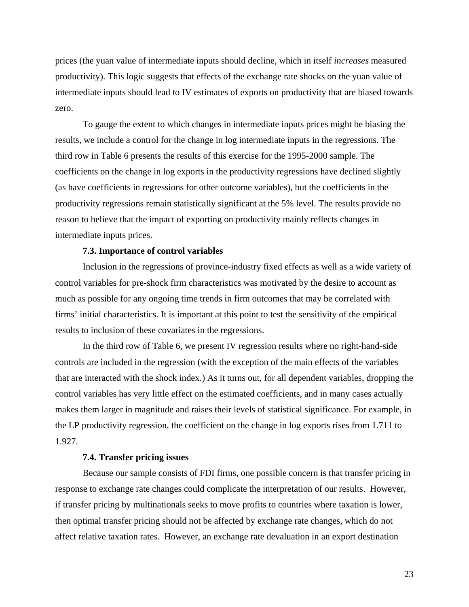prices (the yuan value of intermediate inputs should decline, which in itself *increases* measured productivity). This logic suggests that effects of the exchange rate shocks on the yuan value of intermediate inputs should lead to IV estimates of exports on productivity that are biased towards zero.

To gauge the extent to which changes in intermediate inputs prices might be biasing the results, we include a control for the change in log intermediate inputs in the regressions. The third row in Table 6 presents the results of this exercise for the 1995-2000 sample. The coefficients on the change in log exports in the productivity regressions have declined slightly (as have coefficients in regressions for other outcome variables), but the coefficients in the productivity regressions remain statistically significant at the 5% level. The results provide no reason to believe that the impact of exporting on productivity mainly reflects changes in intermediate inputs prices.

#### **7.3. Importance of control variables**

 Inclusion in the regressions of province-industry fixed effects as well as a wide variety of control variables for pre-shock firm characteristics was motivated by the desire to account as much as possible for any ongoing time trends in firm outcomes that may be correlated with firms' initial characteristics. It is important at this point to test the sensitivity of the empirical results to inclusion of these covariates in the regressions.

 In the third row of Table 6, we present IV regression results where no right-hand-side controls are included in the regression (with the exception of the main effects of the variables that are interacted with the shock index.) As it turns out, for all dependent variables, dropping the control variables has very little effect on the estimated coefficients, and in many cases actually makes them larger in magnitude and raises their levels of statistical significance. For example, in the LP productivity regression, the coefficient on the change in log exports rises from 1.711 to 1.927.

#### **7.4. Transfer pricing issues**

Because our sample consists of FDI firms, one possible concern is that transfer pricing in response to exchange rate changes could complicate the interpretation of our results. However, if transfer pricing by multinationals seeks to move profits to countries where taxation is lower, then optimal transfer pricing should not be affected by exchange rate changes, which do not affect relative taxation rates. However, an exchange rate devaluation in an export destination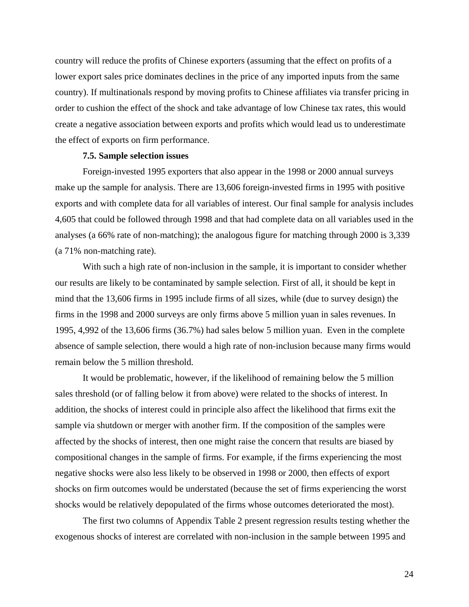country will reduce the profits of Chinese exporters (assuming that the effect on profits of a lower export sales price dominates declines in the price of any imported inputs from the same country). If multinationals respond by moving profits to Chinese affiliates via transfer pricing in order to cushion the effect of the shock and take advantage of low Chinese tax rates, this would create a negative association between exports and profits which would lead us to underestimate the effect of exports on firm performance.

#### **7.5. Sample selection issues**

Foreign-invested 1995 exporters that also appear in the 1998 or 2000 annual surveys make up the sample for analysis. There are 13,606 foreign-invested firms in 1995 with positive exports and with complete data for all variables of interest. Our final sample for analysis includes 4,605 that could be followed through 1998 and that had complete data on all variables used in the analyses (a 66% rate of non-matching); the analogous figure for matching through 2000 is 3,339 (a 71% non-matching rate).

With such a high rate of non-inclusion in the sample, it is important to consider whether our results are likely to be contaminated by sample selection. First of all, it should be kept in mind that the 13,606 firms in 1995 include firms of all sizes, while (due to survey design) the firms in the 1998 and 2000 surveys are only firms above 5 million yuan in sales revenues. In 1995, 4,992 of the 13,606 firms (36.7%) had sales below 5 million yuan. Even in the complete absence of sample selection, there would a high rate of non-inclusion because many firms would remain below the 5 million threshold.

It would be problematic, however, if the likelihood of remaining below the 5 million sales threshold (or of falling below it from above) were related to the shocks of interest. In addition, the shocks of interest could in principle also affect the likelihood that firms exit the sample via shutdown or merger with another firm. If the composition of the samples were affected by the shocks of interest, then one might raise the concern that results are biased by compositional changes in the sample of firms. For example, if the firms experiencing the most negative shocks were also less likely to be observed in 1998 or 2000, then effects of export shocks on firm outcomes would be understated (because the set of firms experiencing the worst shocks would be relatively depopulated of the firms whose outcomes deteriorated the most).

The first two columns of Appendix Table 2 present regression results testing whether the exogenous shocks of interest are correlated with non-inclusion in the sample between 1995 and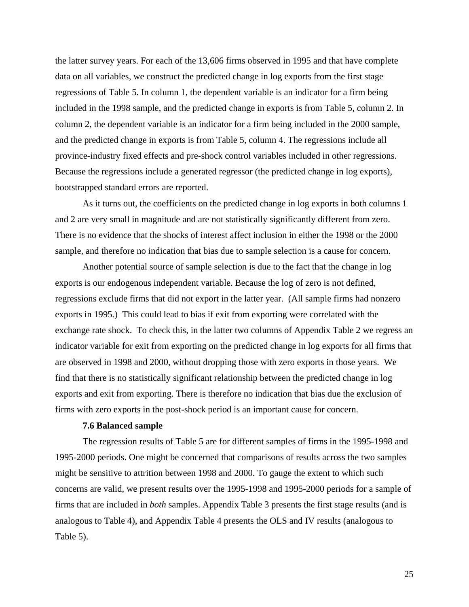the latter survey years. For each of the 13,606 firms observed in 1995 and that have complete data on all variables, we construct the predicted change in log exports from the first stage regressions of Table 5. In column 1, the dependent variable is an indicator for a firm being included in the 1998 sample, and the predicted change in exports is from Table 5, column 2. In column 2, the dependent variable is an indicator for a firm being included in the 2000 sample, and the predicted change in exports is from Table 5, column 4. The regressions include all province-industry fixed effects and pre-shock control variables included in other regressions. Because the regressions include a generated regressor (the predicted change in log exports), bootstrapped standard errors are reported.

As it turns out, the coefficients on the predicted change in log exports in both columns 1 and 2 are very small in magnitude and are not statistically significantly different from zero. There is no evidence that the shocks of interest affect inclusion in either the 1998 or the 2000 sample, and therefore no indication that bias due to sample selection is a cause for concern.

Another potential source of sample selection is due to the fact that the change in log exports is our endogenous independent variable. Because the log of zero is not defined, regressions exclude firms that did not export in the latter year. (All sample firms had nonzero exports in 1995.) This could lead to bias if exit from exporting were correlated with the exchange rate shock. To check this, in the latter two columns of Appendix Table 2 we regress an indicator variable for exit from exporting on the predicted change in log exports for all firms that are observed in 1998 and 2000, without dropping those with zero exports in those years. We find that there is no statistically significant relationship between the predicted change in log exports and exit from exporting. There is therefore no indication that bias due the exclusion of firms with zero exports in the post-shock period is an important cause for concern.

#### **7.6 Balanced sample**

The regression results of Table 5 are for different samples of firms in the 1995-1998 and 1995-2000 periods. One might be concerned that comparisons of results across the two samples might be sensitive to attrition between 1998 and 2000. To gauge the extent to which such concerns are valid, we present results over the 1995-1998 and 1995-2000 periods for a sample of firms that are included in *both* samples. Appendix Table 3 presents the first stage results (and is analogous to Table 4), and Appendix Table 4 presents the OLS and IV results (analogous to Table 5).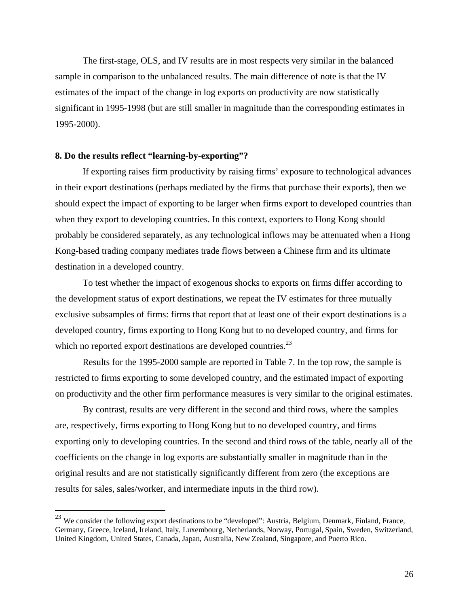The first-stage, OLS, and IV results are in most respects very similar in the balanced sample in comparison to the unbalanced results. The main difference of note is that the IV estimates of the impact of the change in log exports on productivity are now statistically significant in 1995-1998 (but are still smaller in magnitude than the corresponding estimates in 1995-2000).

#### **8. Do the results reflect "learning-by-exporting"?**

 $\overline{a}$ 

 If exporting raises firm productivity by raising firms' exposure to technological advances in their export destinations (perhaps mediated by the firms that purchase their exports), then we should expect the impact of exporting to be larger when firms export to developed countries than when they export to developing countries. In this context, exporters to Hong Kong should probably be considered separately, as any technological inflows may be attenuated when a Hong Kong-based trading company mediates trade flows between a Chinese firm and its ultimate destination in a developed country.

 To test whether the impact of exogenous shocks to exports on firms differ according to the development status of export destinations, we repeat the IV estimates for three mutually exclusive subsamples of firms: firms that report that at least one of their export destinations is a developed country, firms exporting to Hong Kong but to no developed country, and firms for which no reported export destinations are developed countries. $^{23}$ 

 Results for the 1995-2000 sample are reported in Table 7. In the top row, the sample is restricted to firms exporting to some developed country, and the estimated impact of exporting on productivity and the other firm performance measures is very similar to the original estimates.

By contrast, results are very different in the second and third rows, where the samples are, respectively, firms exporting to Hong Kong but to no developed country, and firms exporting only to developing countries. In the second and third rows of the table, nearly all of the coefficients on the change in log exports are substantially smaller in magnitude than in the original results and are not statistically significantly different from zero (the exceptions are results for sales, sales/worker, and intermediate inputs in the third row).

 $^{23}$  We consider the following export destinations to be "developed": Austria, Belgium, Denmark, Finland, France, Germany, Greece, Iceland, Ireland, Italy, Luxembourg, Netherlands, Norway, Portugal, Spain, Sweden, Switzerland, United Kingdom, United States, Canada, Japan, Australia, New Zealand, Singapore, and Puerto Rico.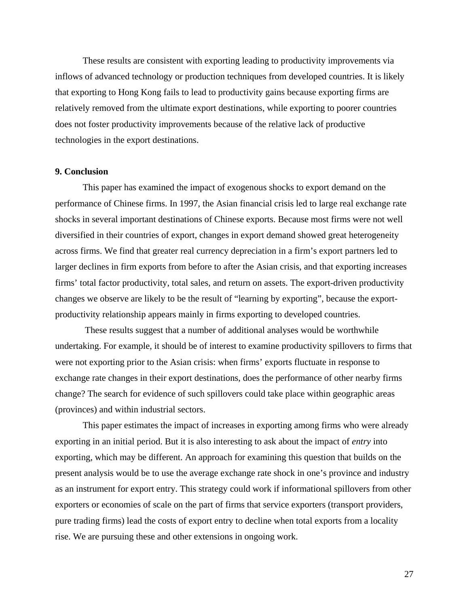These results are consistent with exporting leading to productivity improvements via inflows of advanced technology or production techniques from developed countries. It is likely that exporting to Hong Kong fails to lead to productivity gains because exporting firms are relatively removed from the ultimate export destinations, while exporting to poorer countries does not foster productivity improvements because of the relative lack of productive technologies in the export destinations.

#### **9. Conclusion**

This paper has examined the impact of exogenous shocks to export demand on the performance of Chinese firms. In 1997, the Asian financial crisis led to large real exchange rate shocks in several important destinations of Chinese exports. Because most firms were not well diversified in their countries of export, changes in export demand showed great heterogeneity across firms. We find that greater real currency depreciation in a firm's export partners led to larger declines in firm exports from before to after the Asian crisis, and that exporting increases firms' total factor productivity, total sales, and return on assets. The export-driven productivity changes we observe are likely to be the result of "learning by exporting", because the exportproductivity relationship appears mainly in firms exporting to developed countries.

 These results suggest that a number of additional analyses would be worthwhile undertaking. For example, it should be of interest to examine productivity spillovers to firms that were not exporting prior to the Asian crisis: when firms' exports fluctuate in response to exchange rate changes in their export destinations, does the performance of other nearby firms change? The search for evidence of such spillovers could take place within geographic areas (provinces) and within industrial sectors.

This paper estimates the impact of increases in exporting among firms who were already exporting in an initial period. But it is also interesting to ask about the impact of *entry* into exporting, which may be different. An approach for examining this question that builds on the present analysis would be to use the average exchange rate shock in one's province and industry as an instrument for export entry. This strategy could work if informational spillovers from other exporters or economies of scale on the part of firms that service exporters (transport providers, pure trading firms) lead the costs of export entry to decline when total exports from a locality rise. We are pursuing these and other extensions in ongoing work.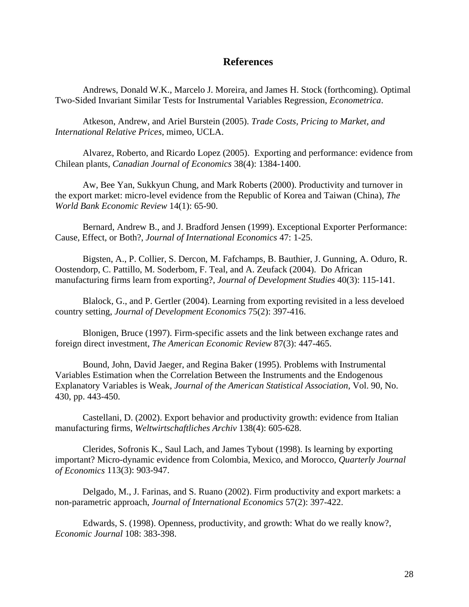## **References**

Andrews, Donald W.K., Marcelo J. Moreira, and James H. Stock (forthcoming). Optimal Two-Sided Invariant Similar Tests for Instrumental Variables Regression, *Econometrica*.

Atkeson, Andrew, and Ariel Burstein (2005). *Trade Costs, Pricing to Market, and International Relative Prices*, mimeo, UCLA.

Alvarez, Roberto, and Ricardo Lopez (2005). Exporting and performance: evidence from Chilean plants, *Canadian Journal of Economics* 38(4): 1384-1400.

Aw, Bee Yan, Sukkyun Chung, and Mark Roberts (2000). Productivity and turnover in the export market: micro-level evidence from the Republic of Korea and Taiwan (China), *The World Bank Economic Review* 14(1): 65-90.

Bernard, Andrew B., and J. Bradford Jensen (1999). Exceptional Exporter Performance: Cause, Effect, or Both?, *Journal of International Economics* 47: 1-25.

Bigsten, A., P. Collier, S. Dercon, M. Fafchamps, B. Bauthier, J. Gunning, A. Oduro, R. Oostendorp, C. Pattillo, M. Soderbom, F. Teal, and A. Zeufack (2004). Do African manufacturing firms learn from exporting?, *Journal of Development Studies* 40(3): 115-141.

Blalock, G., and P. Gertler (2004). Learning from exporting revisited in a less develoed country setting, *Journal of Development Economics* 75(2): 397-416.

Blonigen, Bruce (1997). Firm-specific assets and the link between exchange rates and foreign direct investment, *The American Economic Review* 87(3): 447-465.

Bound, John, David Jaeger, and Regina Baker (1995). Problems with Instrumental Variables Estimation when the Correlation Between the Instruments and the Endogenous Explanatory Variables is Weak, *Journal of the American Statistical Association*, Vol. 90, No. 430, pp. 443-450.

Castellani, D. (2002). Export behavior and productivity growth: evidence from Italian manufacturing firms, *Weltwirtschaftliches Archiv* 138(4): 605-628.

Clerides, Sofronis K., Saul Lach, and James Tybout (1998). Is learning by exporting important? Micro-dynamic evidence from Colombia, Mexico, and Morocco, *Quarterly Journal of Economics* 113(3): 903-947.

Delgado, M., J. Farinas, and S. Ruano (2002). Firm productivity and export markets: a non-parametric approach, *Journal of International Economics* 57(2): 397-422.

Edwards, S. (1998). Openness, productivity, and growth: What do we really know?, *Economic Journal* 108: 383-398.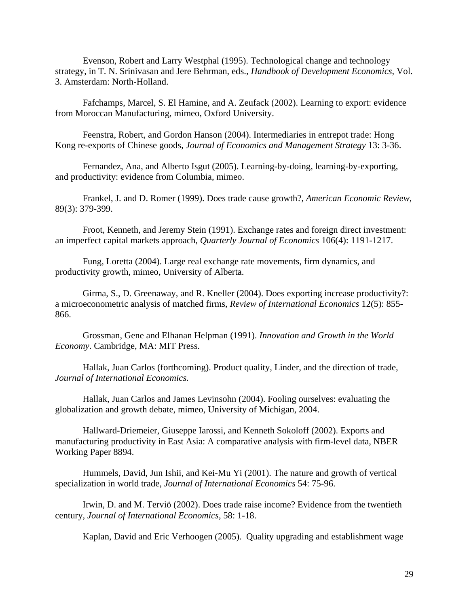Evenson, Robert and Larry Westphal (1995). Technological change and technology strategy, in T. N. Srinivasan and Jere Behrman, eds., *Handbook of Development Economics*, Vol. 3. Amsterdam: North-Holland.

Fafchamps, Marcel, S. El Hamine, and A. Zeufack (2002). Learning to export: evidence from Moroccan Manufacturing, mimeo, Oxford University.

Feenstra, Robert, and Gordon Hanson (2004). Intermediaries in entrepot trade: Hong Kong re-exports of Chinese goods, *Journal of Economics and Management Strategy* 13: 3-36.

Fernandez, Ana, and Alberto Isgut (2005). Learning-by-doing, learning-by-exporting, and productivity: evidence from Columbia, mimeo.

Frankel, J. and D. Romer (1999). Does trade cause growth?, *American Economic Review*, 89(3): 379-399.

Froot, Kenneth, and Jeremy Stein (1991). Exchange rates and foreign direct investment: an imperfect capital markets approach, *Quarterly Journal of Economics* 106(4): 1191-1217.

Fung, Loretta (2004). Large real exchange rate movements, firm dynamics, and productivity growth, mimeo, University of Alberta.

Girma, S., D. Greenaway, and R. Kneller (2004). Does exporting increase productivity?: a microeconometric analysis of matched firms, *Review of International Economics* 12(5): 855- 866.

Grossman, Gene and Elhanan Helpman (1991). *Innovation and Growth in the World Economy*. Cambridge, MA: MIT Press.

Hallak, Juan Carlos (forthcoming). Product quality, Linder, and the direction of trade, *Journal of International Economics.*

Hallak, Juan Carlos and James Levinsohn (2004). Fooling ourselves: evaluating the globalization and growth debate, mimeo, University of Michigan, 2004.

Hallward-Driemeier, Giuseppe Iarossi, and Kenneth Sokoloff (2002). Exports and manufacturing productivity in East Asia: A comparative analysis with firm-level data, NBER Working Paper 8894.

Hummels, David, Jun Ishii, and Kei-Mu Yi (2001). The nature and growth of vertical specialization in world trade, *Journal of International Economics* 54: 75-96.

Irwin, D. and M. Terviö (2002). Does trade raise income? Evidence from the twentieth century, *Journal of International Economics*, 58: 1-18.

Kaplan, David and Eric Verhoogen (2005). Quality upgrading and establishment wage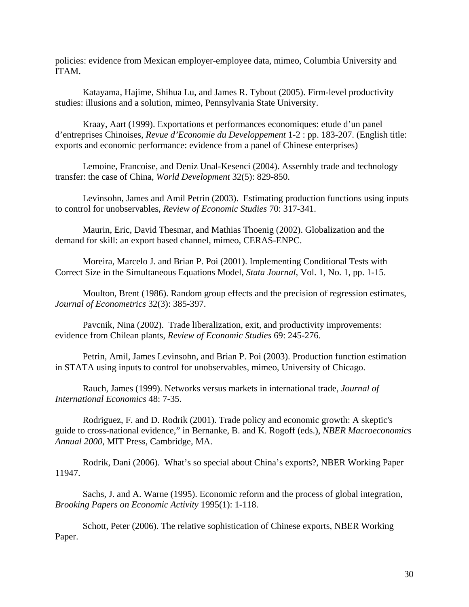policies: evidence from Mexican employer-employee data, mimeo, Columbia University and ITAM.

Katayama, Hajime, Shihua Lu, and James R. Tybout (2005). Firm-level productivity studies: illusions and a solution, mimeo, Pennsylvania State University.

Kraay, Aart (1999). Exportations et performances economiques: etude d'un panel d'entreprises Chinoises, *Revue d'Economie du Developpement* 1-2 : pp. 183-207. (English title: exports and economic performance: evidence from a panel of Chinese enterprises)

Lemoine, Francoise, and Deniz Unal-Kesenci (2004). Assembly trade and technology transfer: the case of China, *World Development* 32(5): 829-850.

Levinsohn, James and Amil Petrin (2003). Estimating production functions using inputs to control for unobservables, *Review of Economic Studies* 70: 317-341.

Maurin, Eric, David Thesmar, and Mathias Thoenig (2002). Globalization and the demand for skill: an export based channel, mimeo, CERAS-ENPC.

Moreira, Marcelo J. and Brian P. Poi (2001). Implementing Conditional Tests with Correct Size in the Simultaneous Equations Model, *Stata Journal*, Vol. 1, No. 1, pp. 1-15.

Moulton, Brent (1986). Random group effects and the precision of regression estimates, *Journal of Econometrics* 32(3): 385-397.

Pavcnik, Nina (2002). Trade liberalization, exit, and productivity improvements: evidence from Chilean plants, *Review of Economic Studies* 69: 245-276.

Petrin, Amil, James Levinsohn, and Brian P. Poi (2003). Production function estimation in STATA using inputs to control for unobservables, mimeo, University of Chicago.

Rauch, James (1999). Networks versus markets in international trade, *Journal of International Economics* 48: 7-35.

Rodriguez, F. and D. Rodrik (2001). Trade policy and economic growth: A skeptic's guide to cross-national evidence," in Bernanke, B. and K. Rogoff (eds.), *NBER Macroeconomics Annual 2000*, MIT Press, Cambridge, MA.

Rodrik, Dani (2006). What's so special about China's exports?, NBER Working Paper 11947.

Sachs, J. and A. Warne (1995). Economic reform and the process of global integration, *Brooking Papers on Economic Activity* 1995(1): 1-118.

Schott, Peter (2006). The relative sophistication of Chinese exports, NBER Working Paper.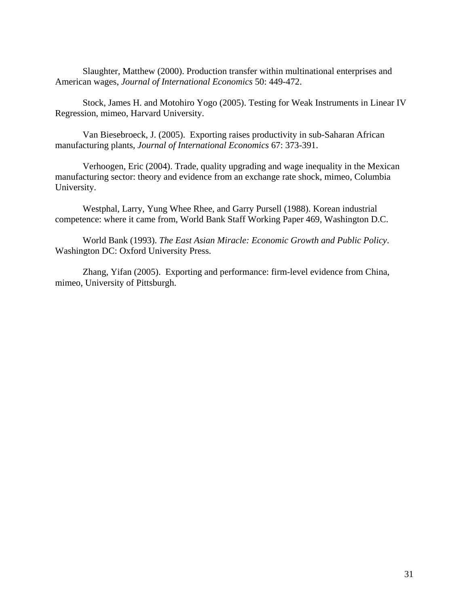Slaughter, Matthew (2000). Production transfer within multinational enterprises and American wages, *Journal of International Economics* 50: 449-472.

Stock, James H. and Motohiro Yogo (2005). Testing for Weak Instruments in Linear IV Regression, mimeo, Harvard University.

Van Biesebroeck, J. (2005). Exporting raises productivity in sub-Saharan African manufacturing plants, *Journal of International Economics* 67: 373-391.

Verhoogen, Eric (2004). Trade, quality upgrading and wage inequality in the Mexican manufacturing sector: theory and evidence from an exchange rate shock, mimeo, Columbia University.

Westphal, Larry, Yung Whee Rhee, and Garry Pursell (1988). Korean industrial competence: where it came from, World Bank Staff Working Paper 469, Washington D.C.

World Bank (1993). *The East Asian Miracle: Economic Growth and Public Policy*. Washington DC: Oxford University Press.

Zhang, Yifan (2005). Exporting and performance: firm-level evidence from China, mimeo, University of Pittsburgh.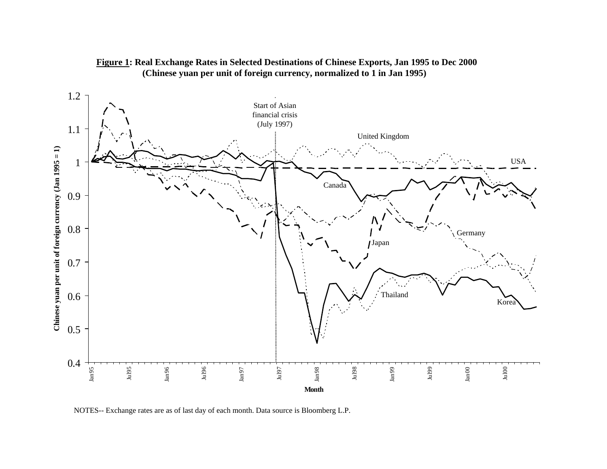

### **Figure 1: Real Exchange Rates in Selected Destinations of Chinese Exports, Jan 1995 to Dec 2000 (Chinese yuan per unit of foreign currency, normalized to 1 in Jan 1995)**

NOTES-- Exchange rates are as of last day of each month. Data source is Bloomberg L.P.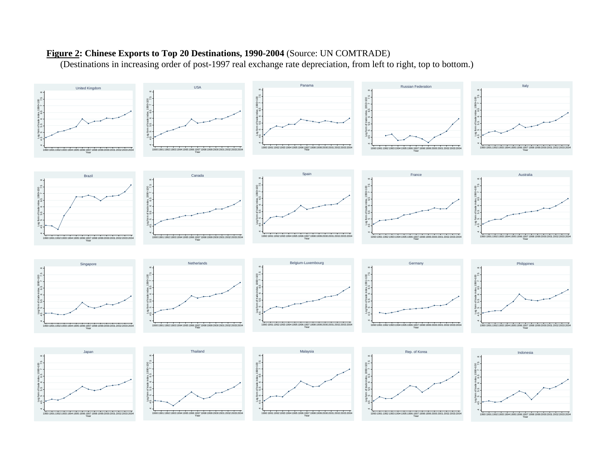# **Figure 2: Chinese Exports to Top 20 Destinations, 1990-2004** (Source: UN COMTRADE)

(Destinations in increasing order of post-1997 real exchange rate depreciation, from left to right, top to bottom.)

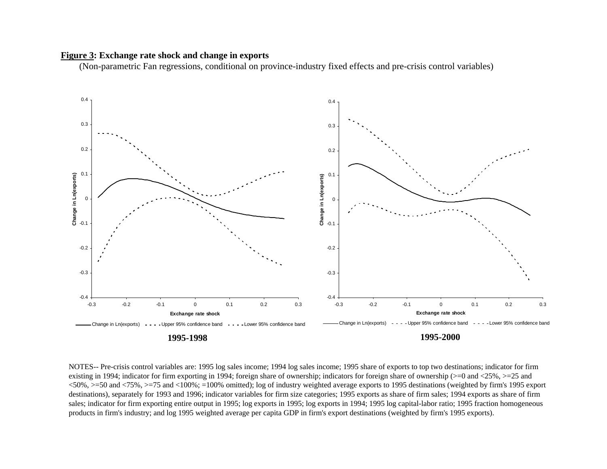#### **Figure 3: Exchange rate shock and change in exports**

(Non-parametric Fan regressions, conditional on province-industry fixed effects and pre-crisis control variables)



NOTES-- Pre-crisis control variables are: 1995 log sales income; 1994 log sales income; 1995 share of exports to top two destinations; indicator for firm existing in 1994; indicator for firm exporting in 1994; foreign share of ownership; indicators for foreign share of ownership (>=0 and <25%, >=25 and <50%, >=50 and <75%, >=75 and <100%; =100% omitted); log of industry weighted average exports to 1995 destinations (weighted by firm's 1995 export destinations), separately for 1993 and 1996; indicator variables for firm size categories; 1995 exports as share of firm sales; 1994 exports as share of firm sales; indicator for firm exporting entire output in 1995; log exports in 1995; log exports in 1994; 1995 log capital-labor ratio; 1995 fraction homogeneous products in firm's industry; and log 1995 weighted average per capita GDP in firm's export destinations (weighted by firm's 1995 exports).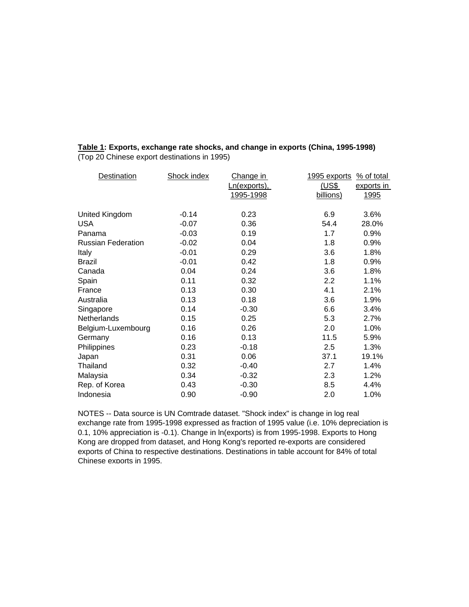| Destination               | <b>Shock index</b> | Change in           | 1995 exports<br>% of total |  |
|---------------------------|--------------------|---------------------|----------------------------|--|
|                           |                    | <u>Ln(exports),</u> | (US\$<br>exports in        |  |
|                           |                    | 1995-1998           | billions)<br><u>1995</u>   |  |
|                           |                    |                     |                            |  |
| United Kingdom            | $-0.14$            | 0.23                | 6.9<br>3.6%                |  |
| <b>USA</b>                | $-0.07$            | 0.36                | 54.4<br>28.0%              |  |
| Panama                    | $-0.03$            | 0.19                | 1.7<br>0.9%                |  |
| <b>Russian Federation</b> | $-0.02$            | 0.04                | 1.8<br>0.9%                |  |
| Italy                     | $-0.01$            | 0.29                | 3.6<br>1.8%                |  |
| Brazil                    | $-0.01$            | 0.42                | 1.8<br>0.9%                |  |
| Canada                    | 0.04               | 0.24                | 1.8%<br>3.6                |  |
| Spain                     | 0.11               | 0.32                | 2.2<br>1.1%                |  |
| France                    | 0.13               | 0.30                | 4.1<br>2.1%                |  |
| Australia                 | 0.13               | 0.18                | 3.6<br>1.9%                |  |
| Singapore                 | 0.14               | $-0.30$             | 6.6<br>3.4%                |  |
| Netherlands               | 0.15               | 0.25                | 5.3<br>2.7%                |  |
| Belgium-Luxembourg        | 0.16               | 0.26                | 2.0<br>1.0%                |  |
| Germany                   | 0.16               | 0.13                | 11.5<br>5.9%               |  |
| Philippines               | 0.23               | $-0.18$             | 2.5<br>1.3%                |  |
| Japan                     | 0.31               | 0.06                | 37.1<br>19.1%              |  |
| Thailand                  | 0.32               | $-0.40$             | 1.4%<br>2.7                |  |
| Malaysia                  | 0.34               | $-0.32$             | 2.3<br>1.2%                |  |
| Rep. of Korea             | 0.43               | $-0.30$             | 8.5<br>4.4%                |  |
| Indonesia                 | 0.90               | $-0.90$             | 2.0<br>1.0%                |  |
|                           |                    |                     |                            |  |

**Table 1: Exports, exchange rate shocks, and change in exports (China, 1995-1998)** (Top 20 Chinese export destinations in 1995)

NOTES -- Data source is UN Comtrade dataset. "Shock index" is change in log real exchange rate from 1995-1998 expressed as fraction of 1995 value (i.e. 10% depreciation is 0.1, 10% appreciation is -0.1). Change in ln(exports) is from 1995-1998. Exports to Hong Kong are dropped from dataset, and Hong Kong's reported re-exports are considered exports of China to respective destinations. Destinations in table account for 84% of total Chinese exports in 1995.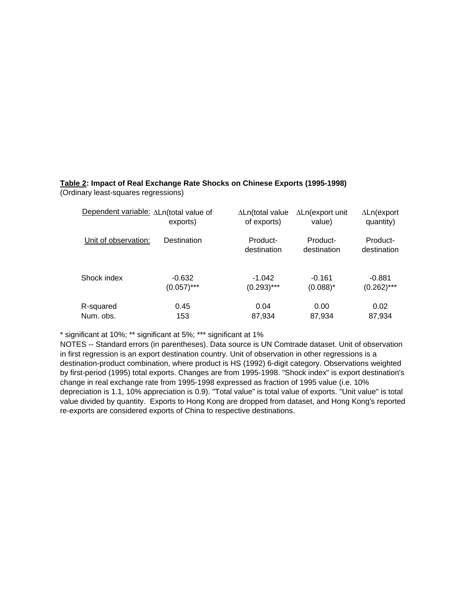#### **Table 2: Impact of Real Exchange Rate Shocks on Chinese Exports (1995-1998)**

(Ordinary least-squares regressions)

| Dependent variable: ALn(total value of | exports)      | $\Delta$ Ln(total value<br>of exports) | $\Delta$ Ln(export unit<br>value) | $\Delta$ Ln(export<br>quantity) |
|----------------------------------------|---------------|----------------------------------------|-----------------------------------|---------------------------------|
| Unit of observation:                   | Destination   | Product-<br>destination                | Product-<br>destination           | Product-<br>destination         |
| Shock index                            | $-0.632$      | $-1.042$                               | $-0.161$                          | $-0.881$                        |
|                                        | $(0.057)$ *** | $(0.293)$ ***                          | $(0.088)^*$                       | $(0.262)$ ***                   |
| R-squared                              | 0.45          | 0.04                                   | 0.00                              | 0.02                            |
| Num. obs.                              | 153           | 87,934                                 | 87,934                            | 87,934                          |

\* significant at 10%; \*\* significant at 5%; \*\*\* significant at 1%

NOTES -- Standard errors (in parentheses). Data source is UN Comtrade dataset. Unit of observation in first regression is an export destination country. Unit of observation in other regressions is a destination-product combination, where product is HS (1992) 6-digit category. Observations weighted by first-period (1995) total exports. Changes are from 1995-1998. "Shock index" is export destination's change in real exchange rate from 1995-1998 expressed as fraction of 1995 value (i.e. 10% depreciation is 1.1, 10% appreciation is 0.9). "Total value" is total value of exports. "Unit value" is total value divided by quantity. Exports to Hong Kong are dropped from dataset, and Hong Kong's reported re-exports are considered exports of China to respective destinations.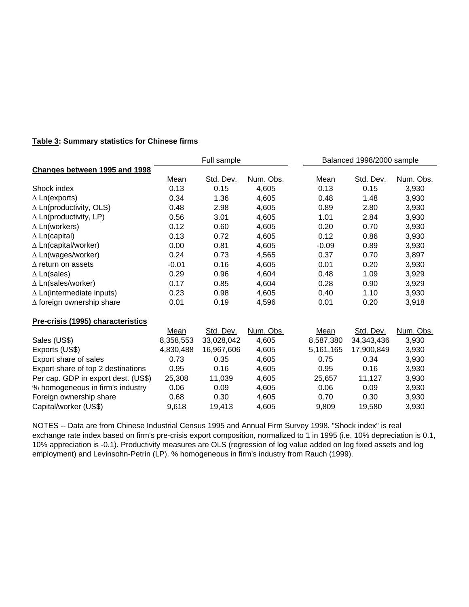#### **Table 3: Summary statistics for Chinese firms**

|                                     |           | Full sample |           | Balanced 1998/2000 sample |              |           |  |
|-------------------------------------|-----------|-------------|-----------|---------------------------|--------------|-----------|--|
| Changes between 1995 and 1998       |           |             |           |                           |              |           |  |
|                                     | Mean      | Std. Dev.   | Num. Obs. | Mean                      | Std. Dev.    | Num. Obs. |  |
| Shock index                         | 0.13      | 0.15        | 4,605     | 0.13                      | 0.15         | 3,930     |  |
| $\Delta$ Ln(exports)                | 0.34      | 1.36        | 4,605     | 0.48                      | 1.48         | 3,930     |  |
| $\Delta$ Ln(productivity, OLS)      | 0.48      | 2.98        | 4,605     | 0.89                      | 2.80         | 3,930     |  |
| $\triangle$ Ln(productivity, LP)    | 0.56      | 3.01        | 4,605     | 1.01                      | 2.84         | 3,930     |  |
| $\Delta$ Ln(workers)                | 0.12      | 0.60        | 4,605     | 0.20                      | 0.70         | 3,930     |  |
| $\Delta$ Ln(capital)                | 0.13      | 0.72        | 4,605     | 0.12                      | 0.86         | 3,930     |  |
| $\Delta$ Ln(capital/worker)         | 0.00      | 0.81        | 4,605     | $-0.09$                   | 0.89         | 3,930     |  |
| $\Delta$ Ln(wages/worker)           | 0.24      | 0.73        | 4,565     | 0.37                      | 0.70         | 3,897     |  |
| $\Delta$ return on assets           | $-0.01$   | 0.16        | 4,605     | 0.01                      | 0.20         | 3,930     |  |
| $\Delta$ Ln(sales)                  | 0.29      | 0.96        | 4,604     | 0.48                      | 1.09         | 3,929     |  |
| $\Delta$ Ln(sales/worker)           | 0.17      | 0.85        | 4,604     | 0.28                      | 0.90         | 3,929     |  |
| $\Delta$ Ln(intermediate inputs)    | 0.23      | 0.98        | 4,605     | 0.40                      | 1.10         | 3,930     |  |
| $\Delta$ foreign ownership share    | 0.01      | 0.19        | 4,596     | 0.01                      | 0.20         | 3,918     |  |
| Pre-crisis (1995) characteristics   |           |             |           |                           |              |           |  |
|                                     | Mean      | Std. Dev.   | Num. Obs. | Mean                      | Std. Dev.    | Num. Obs. |  |
| Sales (US\$)                        | 8,358,553 | 33,028,042  | 4,605     | 8,587,380                 | 34, 343, 436 | 3,930     |  |
| Exports (US\$)                      | 4,830,488 | 16,967,606  | 4,605     | 5,161,165                 | 17,900,849   | 3,930     |  |
| Export share of sales               | 0.73      | 0.35        | 4,605     | 0.75                      | 0.34         | 3,930     |  |
| Export share of top 2 destinations  | 0.95      | 0.16        | 4,605     | 0.95                      | 0.16         | 3,930     |  |
| Per cap. GDP in export dest. (US\$) | 25,308    | 11,039      | 4,605     | 25,657                    | 11,127       | 3,930     |  |
| % homogeneous in firm's industry    | 0.06      | 0.09        | 4,605     | 0.06                      | 0.09         | 3,930     |  |
| Foreign ownership share             | 0.68      | 0.30        | 4,605     | 0.70                      | 0.30         | 3,930     |  |
| Capital/worker (US\$)               | 9,618     | 19,413      | 4,605     | 9,809                     | 19,580       | 3,930     |  |

NOTES -- Data are from Chinese Industrial Census 1995 and Annual Firm Survey 1998. "Shock index" is real exchange rate index based on firm's pre-crisis export composition, normalized to 1 in 1995 (i.e. 10% depreciation is 0.1, 10% appreciation is -0.1). Productivity measures are OLS (regression of log value added on log fixed assets and log employment) and Levinsohn-Petrin (LP). % homogeneous in firm's industry from Rauch (1999).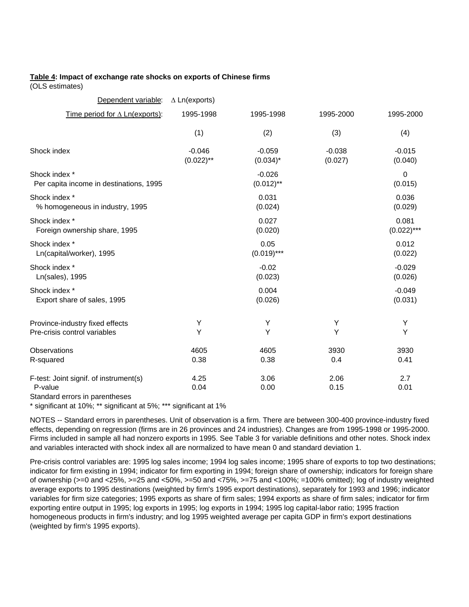#### **Table 4: Impact of exchange rate shocks on exports of Chinese firms**

(OLS estimates)

| $\Delta$ Ln(exports)     |                          |                     |                        |
|--------------------------|--------------------------|---------------------|------------------------|
| 1995-1998                | 1995-1998                | 1995-2000           | 1995-2000              |
| (1)                      | (2)                      | (3)                 | (4)                    |
| $-0.046$<br>$(0.022)$ ** | $-0.059$<br>$(0.034)^*$  | $-0.038$<br>(0.027) | $-0.015$<br>(0.040)    |
|                          | $-0.026$<br>$(0.012)$ ** |                     | 0<br>(0.015)           |
|                          | 0.031<br>(0.024)         |                     | 0.036<br>(0.029)       |
|                          | 0.027<br>(0.020)         |                     | 0.081<br>$(0.022)$ *** |
|                          | 0.05<br>$(0.019)$ ***    |                     | 0.012<br>(0.022)       |
|                          | $-0.02$<br>(0.023)       |                     | $-0.029$<br>(0.026)    |
|                          | 0.004<br>(0.026)         |                     | $-0.049$<br>(0.031)    |
| Υ<br>Y                   | Υ<br>Y                   | Υ<br>Y              | Υ<br>Y                 |
| 4605<br>0.38             | 4605<br>0.38             | 3930<br>0.4         | 3930<br>0.41           |
| 4.25<br>0.04             | 3.06<br>0.00             | 2.06<br>0.15        | 2.7<br>0.01            |
|                          |                          |                     |                        |

Standard errors in parentheses

\* significant at 10%; \*\* significant at 5%; \*\*\* significant at 1%

NOTES -- Standard errors in parentheses. Unit of observation is a firm. There are between 300-400 province-industry fixed effects, depending on regression (firms are in 26 provinces and 24 industries). Changes are from 1995-1998 or 1995-2000. Firms included in sample all had nonzero exports in 1995. See Table 3 for variable definitions and other notes. Shock index and variables interacted with shock index all are normalized to have mean 0 and standard deviation 1.

Pre-crisis control variables are: 1995 log sales income; 1994 log sales income; 1995 share of exports to top two destinations; indicator for firm existing in 1994; indicator for firm exporting in 1994; foreign share of ownership; indicators for foreign share of ownership (>=0 and <25%, >=25 and <50%, >=50 and <75%, >=75 and <100%; =100% omitted); log of industry weighted average exports to 1995 destinations (weighted by firm's 1995 export destinations), separately for 1993 and 1996; indicator variables for firm size categories; 1995 exports as share of firm sales; 1994 exports as share of firm sales; indicator for firm exporting entire output in 1995; log exports in 1995; log exports in 1994; 1995 log capital-labor ratio; 1995 fraction homogeneous products in firm's industry; and log 1995 weighted average per capita GDP in firm's export destinations (weighted by firm's 1995 exports).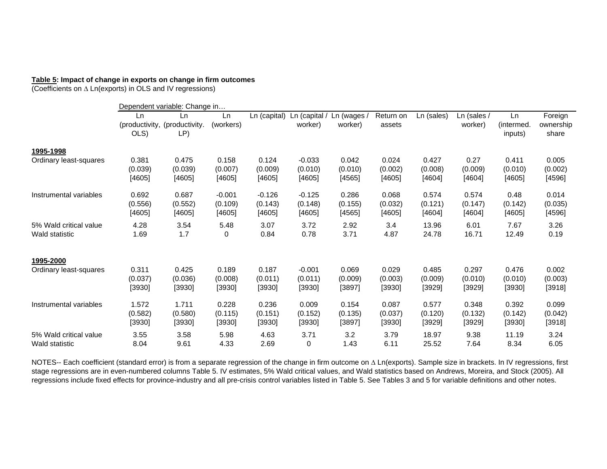#### **Table 5: Impact of change in exports on change in firm outcomes**

(Coefficients on Δ Ln(exports) in OLS and IV regressions)

|                        |            | Dependent variable: Change in              |                 |              |                          |                        |                     |            |                        |                             |                               |
|------------------------|------------|--------------------------------------------|-----------------|--------------|--------------------------|------------------------|---------------------|------------|------------------------|-----------------------------|-------------------------------|
|                        | Ln<br>OLS) | Ln<br>(productivity, (productivity.<br>LP) | Ln<br>(workers) | Ln (capital) | Ln (capital /<br>worker) | Ln (wages /<br>worker) | Return on<br>assets | Ln (sales) | Ln (sales /<br>worker) | Ln<br>(intermed.<br>inputs) | Foreign<br>ownership<br>share |
| 1995-1998              |            |                                            |                 |              |                          |                        |                     |            |                        |                             |                               |
| Ordinary least-squares | 0.381      | 0.475                                      | 0.158           | 0.124        | $-0.033$                 | 0.042                  | 0.024               | 0.427      | 0.27                   | 0.411                       | 0.005                         |
|                        | (0.039)    | (0.039)                                    | (0.007)         | (0.009)      | (0.010)                  | (0.010)                | (0.002)             | (0.008)    | (0.009)                | (0.010)                     | (0.002)                       |
|                        | [4605]     | [4605]                                     | [4605]          | [4605]       | [4605]                   | [4565]                 | [4605]              | [4604]     | [4604]                 | [4605]                      | [4596]                        |
| Instrumental variables | 0.692      | 0.687                                      | $-0.001$        | $-0.126$     | $-0.125$                 | 0.286                  | 0.068               | 0.574      | 0.574                  | 0.48                        | 0.014                         |
|                        | (0.556)    | (0.552)                                    | (0.109)         | (0.143)      | (0.148)                  | (0.155)                | (0.032)             | (0.121)    | (0.147)                | (0.142)                     | (0.035)                       |
|                        | [4605]     | [4605]                                     | [4605]          | [4605]       | [4605]                   | [4565]                 | [4605]              | [4604]     | [4604]                 | [4605]                      | [4596]                        |
| 5% Wald critical value | 4.28       | 3.54                                       | 5.48            | 3.07         | 3.72                     | 2.92                   | 3.4                 | 13.96      | 6.01                   | 7.67                        | 3.26                          |
| Wald statistic         | 1.69       | 1.7                                        | 0               | 0.84         | 0.78                     | 3.71                   | 4.87                | 24.78      | 16.71                  | 12.49                       | 0.19                          |
| 1995-2000              |            |                                            |                 |              |                          |                        |                     |            |                        |                             |                               |
| Ordinary least-squares | 0.311      | 0.425                                      | 0.189           | 0.187        | $-0.001$                 | 0.069                  | 0.029               | 0.485      | 0.297                  | 0.476                       | 0.002                         |
|                        | (0.037)    | (0.036)                                    | (0.008)         | (0.011)      | (0.011)                  | (0.009)                | (0.003)             | (0.009)    | (0.010)                | (0.010)                     | (0.003)                       |
|                        | [3930]     | [3930]                                     | [3930]          | [3930]       | [3930]                   | [3897]                 | [3930]              | [3929]     | [3929]                 | [3930]                      | [3918]                        |
| Instrumental variables | 1.572      | 1.711                                      | 0.228           | 0.236        | 0.009                    | 0.154                  | 0.087               | 0.577      | 0.348                  | 0.392                       | 0.099                         |
|                        | (0.582)    | (0.580)                                    | (0.115)         | (0.151)      | (0.152)                  | (0.135)                | (0.037)             | (0.120)    | (0.132)                | (0.142)                     | (0.042)                       |
|                        | [3930]     | [3930]                                     | [3930]          | [3930]       | [3930]                   | [3897]                 | [3930]              | [3929]     | [3929]                 | [3930]                      | [3918]                        |
| 5% Wald critical value | 3.55       | 3.58                                       | 5.98            | 4.63         | 3.71                     | 3.2                    | 3.79                | 18.97      | 9.38                   | 11.19                       | 3.24                          |
| Wald statistic         | 8.04       | 9.61                                       | 4.33            | 2.69         | 0                        | 1.43                   | 6.11                | 25.52      | 7.64                   | 8.34                        | 6.05                          |

NOTES-- Each coefficient (standard error) is from a separate regression of the change in firm outcome on Δ Ln(exports). Sample size in brackets. In IV regressions, first stage regressions are in even-numbered columns Table 5. IV estimates, 5% Wald critical values, and Wald statistics based on Andrews, Moreira, and Stock (2005). All regressions include fixed effects for province-industry and all pre-crisis control variables listed in Table 5. See Tables 3 and 5 for variable definitions and other notes.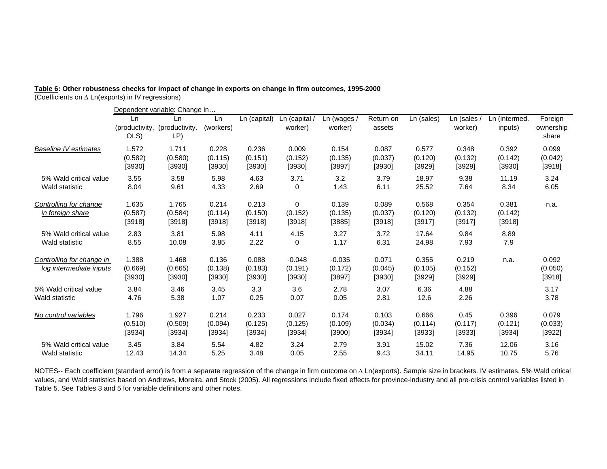# **Table 6: Other robustness checks for impact of change in exports on change in firm outcomes, 1995-2000**

(Coefficients on Δ Ln(exports) in IV regressions)

|                                                      |                              | Dependent variable: Change in |                            |                            |                               |                               |                            |                            |                            |                            |                               |
|------------------------------------------------------|------------------------------|-------------------------------|----------------------------|----------------------------|-------------------------------|-------------------------------|----------------------------|----------------------------|----------------------------|----------------------------|-------------------------------|
|                                                      | Ln<br>(productivity,<br>OLS) | Ln<br>(productivity.<br>LP)   | Ln<br>(workers)            | Ln (capital)               | Ln (capital /<br>worker)      | Ln (wages /<br>worker)        | Return on<br>assets        | Ln (sales)                 | Ln (sales /<br>worker)     | Ln (intermed.<br>inputs)   | Foreign<br>ownership<br>share |
| <b>Baseline IV estimates</b>                         | 1.572                        | 1.711                         | 0.228                      | 0.236                      | 0.009                         | 0.154                         | 0.087                      | 0.577                      | 0.348                      | 0.392                      | 0.099                         |
|                                                      | (0.582)                      | (0.580)                       | (0.115)                    | (0.151)                    | (0.152)                       | (0.135)                       | (0.037)                    | (0.120)                    | (0.132)                    | (0.142)                    | (0.042)                       |
|                                                      | [3930]                       | [3930]                        | [3930]                     | [3930]                     | [3930]                        | [3897]                        | [3930]                     | [3929]                     | [3929]                     | [3930]                     | [3918]                        |
| 5% Wald critical value                               | 3.55                         | 3.58                          | 5.98                       | 4.63                       | 3.71                          | 3.2                           | 3.79                       | 18.97                      | 9.38                       | 11.19                      | 3.24                          |
| Wald statistic                                       | 8.04                         | 9.61                          | 4.33                       | 2.69                       | 0                             | 1.43                          | 6.11                       | 25.52                      | 7.64                       | 8.34                       | 6.05                          |
| Controlling for change<br>in foreign share           | 1.635<br>(0.587)<br>[3918]   | 1.765<br>(0.584)<br>[3918]    | 0.214<br>(0.114)<br>[3918] | 0.213<br>(0.150)<br>[3918] | 0<br>(0.152)<br>[3918]        | 0.139<br>(0.135)<br>[3885]    | 0.089<br>(0.037)<br>[3918] | 0.568<br>(0.120)<br>[3917] | 0.354<br>(0.132)<br>[3917] | 0.381<br>(0.142)<br>[3918] | n.a.                          |
| 5% Wald critical value                               | 2.83                         | 3.81                          | 5.98                       | 4.11                       | 4.15                          | 3.27                          | 3.72                       | 17.64                      | 9.84                       | 8.89                       |                               |
| Wald statistic                                       | 8.55                         | 10.08                         | 3.85                       | 2.22                       | 0                             | 1.17                          | 6.31                       | 24.98                      | 7.93                       | 7.9                        |                               |
| Controlling for change in<br>log intermediate inputs | 1.388<br>(0.669)<br>[3930]   | 1.468<br>(0.665)<br>[3930]    | 0.136<br>(0.138)<br>[3930] | 0.088<br>(0.183)<br>[3930] | $-0.048$<br>(0.191)<br>[3930] | $-0.035$<br>(0.172)<br>[3897] | 0.071<br>(0.045)<br>[3930] | 0.355<br>(0.105)<br>[3929] | 0.219<br>(0.152)<br>[3929] | n.a.                       | 0.092<br>(0.050)<br>[3918]    |
| 5% Wald critical value                               | 3.84                         | 3.46                          | 3.45                       | 3.3                        | 3.6                           | 2.78                          | 3.07                       | 6.36                       | 4.88                       |                            | 3.17                          |
| Wald statistic                                       | 4.76                         | 5.38                          | 1.07                       | 0.25                       | 0.07                          | 0.05                          | 2.81                       | 12.6                       | 2.26                       |                            | 3.78                          |
| No control variables                                 | 1.796                        | 1.927                         | 0.214                      | 0.233                      | 0.027                         | 0.174                         | 0.103                      | 0.666                      | 0.45                       | 0.396                      | 0.079                         |
|                                                      | (0.510)                      | (0.509)                       | (0.094)                    | (0.125)                    | (0.125)                       | (0.109)                       | (0.034)                    | (0.114)                    | (0.117)                    | (0.121)                    | (0.033)                       |
|                                                      | [3934]                       | [3934]                        | [3934]                     | [3934]                     | [3934]                        | [3900]                        | [3934]                     | [3933]                     | [3933]                     | [3934]                     | [3922]                        |
| 5% Wald critical value                               | 3.45                         | 3.84                          | 5.54                       | 4.82                       | 3.24                          | 2.79                          | 3.91                       | 15.02                      | 7.36                       | 12.06                      | 3.16                          |
| Wald statistic                                       | 12.43                        | 14.34                         | 5.25                       | 3.48                       | 0.05                          | 2.55                          | 9.43                       | 34.11                      | 14.95                      | 10.75                      | 5.76                          |

NOTES-- Each coefficient (standard error) is from a separate regression of the change in firm outcome on Δ Ln(exports). Sample size in brackets. IV estimates, 5% Wald critical values, and Wald statistics based on Andrews, Moreira, and Stock (2005). All regressions include fixed effects for province-industry and all pre-crisis control variables listed in Table 5. See Tables 3 and 5 for variable definitions and other notes.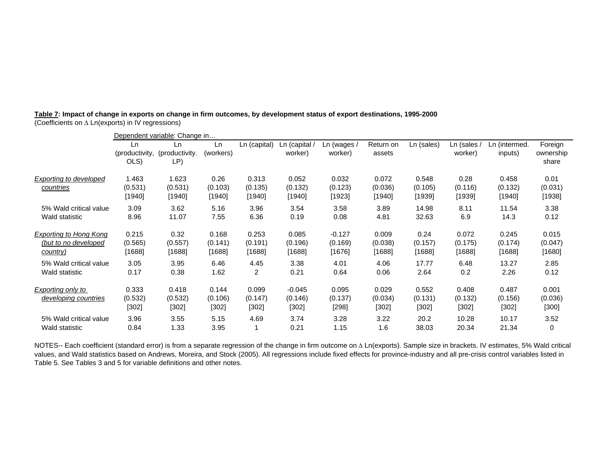| Table 7: Impact of change in exports on change in firm outcomes, by development status of export destinations, 1995-2000 |  |  |
|--------------------------------------------------------------------------------------------------------------------------|--|--|
| (Coefficients on $\Delta$ Ln(exports) in IV regressions)                                                                 |  |  |

|                                           |                              | Dependent variable: Change in |                             |                            |                              |                            |                            |                              |                           |                             |                               |
|-------------------------------------------|------------------------------|-------------------------------|-----------------------------|----------------------------|------------------------------|----------------------------|----------------------------|------------------------------|---------------------------|-----------------------------|-------------------------------|
|                                           | Ln<br>(productivity,<br>OLS) | Ln.<br>(productivity.<br>LP)  | Ln<br>(workers)             | Ln (capital)               | Ln (capital /<br>worker)     | Ln (wages /<br>worker)     | Return on<br>assets        | Ln (sales)                   | $Ln$ (sales /<br>worker)  | Ln (intermed.<br>inputs)    | Foreign<br>ownership<br>share |
| Exporting to developed<br>countries       | 1.463<br>(0.531)<br>[1940]   | 1.623<br>(0.531)<br>[1940]    | 0.26<br>(0.103)<br>[1940]   | 0.313<br>(0.135)<br>[1940] | 0.052<br>(0.132)<br>[1940]   | 0.032<br>(0.123)<br>[1923] | 0.072<br>(0.036)<br>[1940] | 0.548<br>(0.105)<br>$[1939]$ | 0.28<br>(0.116)<br>[1939] | 0.458<br>(0.132)<br>[1940]  | 0.01<br>(0.031)<br>[1938]     |
| 5% Wald critical value                    | 3.09                         | 3.62                          | 5.16                        | 3.96                       | 3.54                         | 3.58                       | 3.89                       | 14.98                        | 8.11                      | 11.54                       | 3.38                          |
| Wald statistic                            | 8.96                         | 11.07                         | 7.55                        | 6.36                       | 0.19                         | 0.08                       | 4.81                       | 32.63                        | 6.9                       | 14.3                        | 0.12                          |
| <b>Exporting to Hong Kong</b>             | 0.215                        | 0.32                          | 0.168                       | 0.253                      | 0.085                        | $-0.127$                   | 0.009                      | 0.24                         | 0.072                     | 0.245                       | 0.015                         |
| (but to no developed                      | (0.565)                      | (0.557)                       | (0.141)                     | (0.191)                    | (0.196)                      | (0.169)                    | (0.038)                    | (0.157)                      | (0.175)                   | (0.174)                     | (0.047)                       |
| country)                                  | [1688]                       | [1688]                        | [1688]                      | [1688]                     | [1688]                       | [1676]                     | [1688]                     | [1688]                       | [1688]                    | [1688]                      | [1680]                        |
| 5% Wald critical value                    | 3.05                         | 3.95                          | 6.46                        | 4.45                       | 3.38                         | 4.01                       | 4.06                       | 17.77                        | 6.48                      | 13.27                       | 2.85                          |
| Wald statistic                            | 0.17                         | 0.38                          | 1.62                        | 2                          | 0.21                         | 0.64                       | 0.06                       | 2.64                         | 0.2                       | 2.26                        | 0.12                          |
| Exporting only to<br>developing countries | 0.333<br>(0.532)<br>[302]    | 0.418<br>(0.532)<br>$[302]$   | 0.144<br>(0.106)<br>$[302]$ | 0.099<br>(0.147)<br>[302]  | $-0.045$<br>(0.146)<br>[302] | 0.095<br>(0.137)<br>[298]  | 0.029<br>(0.034)<br>[302]  | 0.552<br>(0.131)<br>[302]    | 0.408<br>(0.132)<br>[302] | 0.487<br>(0.156)<br>$[302]$ | 0.001<br>(0.036)<br>[300]     |
| 5% Wald critical value                    | 3.96                         | 3.55                          | 5.15                        | 4.69                       | 3.74                         | 3.28                       | 3.22                       | 20.2                         | 10.28                     | 10.17                       | 3.52                          |
| Wald statistic                            | 0.84                         | 1.33                          | 3.95                        |                            | 0.21                         | 1.15                       | 1.6                        | 38.03                        | 20.34                     | 21.34                       | 0                             |

NOTES-- Each coefficient (standard error) is from a separate regression of the change in firm outcome on Δ Ln(exports). Sample size in brackets. IV estimates, 5% Wald critical values, and Wald statistics based on Andrews, Moreira, and Stock (2005). All regressions include fixed effects for province-industry and all pre-crisis control variables listed in Table 5. See Tables 3 and 5 for variable definitions and other notes.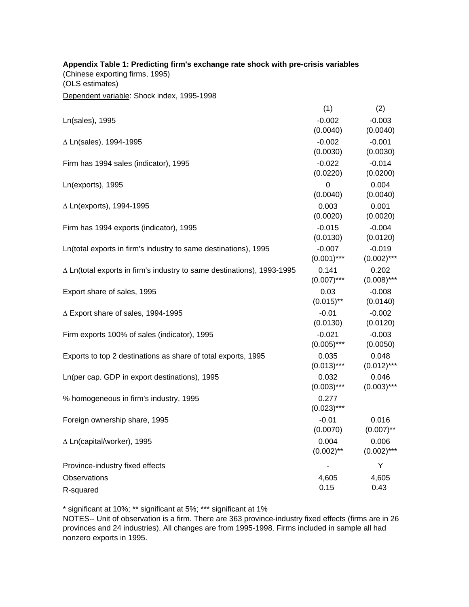| Appendix Table 1: Predicting firm's exchange rate shock with pre-crisis variables<br>(Chinese exporting firms, 1995)<br>(OLS estimates) |                           |                           |
|-----------------------------------------------------------------------------------------------------------------------------------------|---------------------------|---------------------------|
| Dependent variable: Shock index, 1995-1998                                                                                              |                           |                           |
|                                                                                                                                         | (1)                       | (2)                       |
| Ln(sales), 1995                                                                                                                         | $-0.002$<br>(0.0040)      | $-0.003$<br>(0.0040)      |
| ∆ Ln(sales), 1994-1995                                                                                                                  | $-0.002$<br>(0.0030)      | $-0.001$<br>(0.0030)      |
| Firm has 1994 sales (indicator), 1995                                                                                                   | $-0.022$<br>(0.0220)      | $-0.014$<br>(0.0200)      |
| Ln(exports), 1995                                                                                                                       | $\mathbf 0$<br>(0.0040)   | 0.004<br>(0.0040)         |
| $\Delta$ Ln(exports), 1994-1995                                                                                                         | 0.003<br>(0.0020)         | 0.001<br>(0.0020)         |
| Firm has 1994 exports (indicator), 1995                                                                                                 | $-0.015$<br>(0.0130)      | $-0.004$<br>(0.0120)      |
| Ln(total exports in firm's industry to same destinations), 1995                                                                         | $-0.007$<br>$(0.001)$ *** | $-0.019$<br>$(0.002)$ *** |
| $\Delta$ Ln(total exports in firm's industry to same destinations), 1993-1995                                                           | 0.141<br>$(0.007)$ ***    | 0.202<br>$(0.008)$ ***    |
| Export share of sales, 1995                                                                                                             | 0.03<br>$(0.015)$ **      | $-0.008$<br>(0.0140)      |
| $\triangle$ Export share of sales, 1994-1995                                                                                            | $-0.01$<br>(0.0130)       | $-0.002$<br>(0.0120)      |
| Firm exports 100% of sales (indicator), 1995                                                                                            | $-0.021$<br>$(0.005)$ *** | $-0.003$<br>(0.0050)      |
| Exports to top 2 destinations as share of total exports, 1995                                                                           | 0.035<br>$(0.013)$ ***    | 0.048<br>$(0.012)$ ***    |
| Ln(per cap. GDP in export destinations), 1995                                                                                           | 0.032<br>$(0.003)$ ***    | 0.046<br>$(0.003)$ ***    |
| % homogeneous in firm's industry, 1995                                                                                                  | 0.277<br>$(0.023)$ ***    |                           |
| Foreign ownership share, 1995                                                                                                           | $-0.01$<br>(0.0070)       | 0.016<br>$(0.007)$ **     |
| ∆ Ln(capital/worker), 1995                                                                                                              | 0.004<br>$(0.002)$ **     | 0.006<br>$(0.002)$ ***    |
| Province-industry fixed effects                                                                                                         |                           | Y                         |
| Observations                                                                                                                            | 4,605                     | 4,605                     |
| R-squared                                                                                                                               | 0.15                      | 0.43                      |

\* significant at 10%; \*\* significant at 5%; \*\*\* significant at 1%

NOTES-- Unit of observation is a firm. There are 363 province-industry fixed effects (firms are in 26 provinces and 24 industries). All changes are from 1995-1998. Firms included in sample all had nonzero exports in 1995.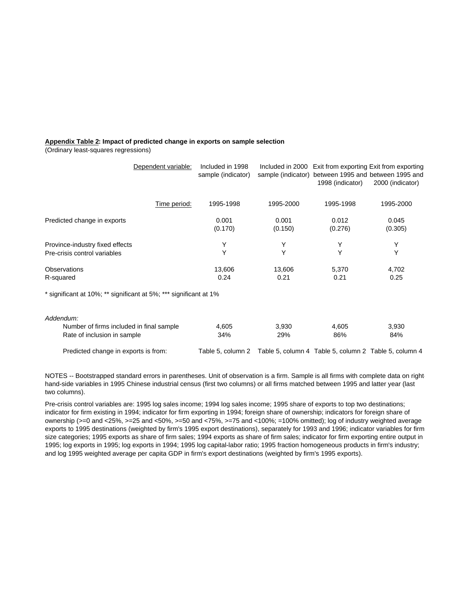### **Appendix Table 2: Impact of predicted change in exports on sample selection**

(Ordinary least-squares regressions)

| Dependent variable:                                               | Included in 1998<br>sample (indicator) |                  | sample (indicator) between 1995 and between 1995 and<br>1998 (indicator) | Included in 2000 Exit from exporting Exit from exporting<br>2000 (indicator) |
|-------------------------------------------------------------------|----------------------------------------|------------------|--------------------------------------------------------------------------|------------------------------------------------------------------------------|
| Time period:                                                      | 1995-1998                              | 1995-2000        | 1995-1998                                                                | 1995-2000                                                                    |
| Predicted change in exports                                       | 0.001<br>(0.170)                       | 0.001<br>(0.150) | 0.012<br>(0.276)                                                         | 0.045<br>(0.305)                                                             |
| Province-industry fixed effects                                   | Y                                      | Υ                | Y                                                                        | Υ                                                                            |
| Pre-crisis control variables                                      | Y                                      | Y                | Y                                                                        | Y                                                                            |
| Observations                                                      | 13,606                                 | 13,606           | 5,370                                                                    | 4,702                                                                        |
| R-squared                                                         | 0.24                                   | 0.21             | 0.21                                                                     | 0.25                                                                         |
| * significant at 10%; ** significant at 5%; *** significant at 1% |                                        |                  |                                                                          |                                                                              |
| Addendum:                                                         |                                        |                  |                                                                          |                                                                              |
| Number of firms included in final sample                          | 4,605                                  | 3,930            | 4,605                                                                    | 3,930                                                                        |
| Rate of inclusion in sample                                       | 34%                                    | 29%              | 86%                                                                      | 84%                                                                          |

Predicted change in exports is from: Table 5, column 2 Table 5, column 4 Table 5, column 2 Table 5, column 4

NOTES -- Bootstrapped standard errors in parentheses. Unit of observation is a firm. Sample is all firms with complete data on righthand-side variables in 1995 Chinese industrial census (first two columns) or all firms matched between 1995 and latter year (last two columns).

Pre-crisis control variables are: 1995 log sales income; 1994 log sales income; 1995 share of exports to top two destinations; indicator for firm existing in 1994; indicator for firm exporting in 1994; foreign share of ownership; indicators for foreign share of ownership (>=0 and <25%, >=25 and <50%, >=50 and <75%, >=75 and <100%; =100% omitted); log of industry weighted average exports to 1995 destinations (weighted by firm's 1995 export destinations), separately for 1993 and 1996; indicator variables for firm size categories; 1995 exports as share of firm sales; 1994 exports as share of firm sales; indicator for firm exporting entire output in 1995; log exports in 1995; log exports in 1994; 1995 log capital-labor ratio; 1995 fraction homogeneous products in firm's industry; and log 1995 weighted average per capita GDP in firm's export destinations (weighted by firm's 1995 exports).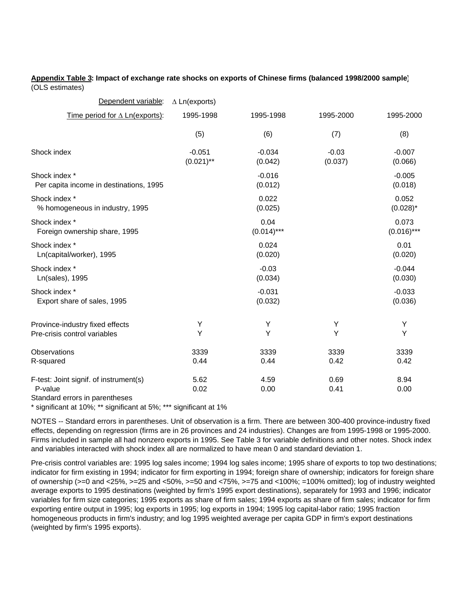#### **Appendix Table 3: Impact of exchange rate shocks on exports of Chinese firms (balanced 1998/2000 sample)** (OLS estimates)

| Dependent variable:                                                                 | $\Delta$ Ln(exports)     |                       |                    |                        |
|-------------------------------------------------------------------------------------|--------------------------|-----------------------|--------------------|------------------------|
| Time period for $\triangle$ Ln(exports):                                            | 1995-1998                | 1995-1998             | 1995-2000          | 1995-2000              |
|                                                                                     | (5)                      | (6)                   | (7)                | (8)                    |
| Shock index                                                                         | $-0.051$<br>$(0.021)$ ** | $-0.034$<br>(0.042)   | $-0.03$<br>(0.037) | $-0.007$<br>(0.066)    |
| Shock index *<br>Per capita income in destinations, 1995                            |                          | $-0.016$<br>(0.012)   |                    | $-0.005$<br>(0.018)    |
| Shock index *<br>% homogeneous in industry, 1995                                    |                          | 0.022<br>(0.025)      |                    | 0.052<br>$(0.028)^*$   |
| Shock index *<br>Foreign ownership share, 1995                                      |                          | 0.04<br>$(0.014)$ *** |                    | 0.073<br>$(0.016)$ *** |
| Shock index *<br>Ln(capital/worker), 1995                                           |                          | 0.024<br>(0.020)      |                    | 0.01<br>(0.020)        |
| Shock index *<br>Ln(sales), 1995                                                    |                          | $-0.03$<br>(0.034)    |                    | $-0.044$<br>(0.030)    |
| Shock index *<br>Export share of sales, 1995                                        |                          | $-0.031$<br>(0.032)   |                    | $-0.033$<br>(0.036)    |
| Province-industry fixed effects<br>Pre-crisis control variables                     | Υ<br>Υ                   | Υ<br>Y                | Υ<br>Υ             | Υ<br>Y                 |
| Observations<br>R-squared                                                           | 3339<br>0.44             | 3339<br>0.44          | 3339<br>0.42       | 3339<br>0.42           |
| F-test: Joint signif. of instrument(s)<br>P-value<br>Standard errors in parentheses | 5.62<br>0.02             | 4.59<br>0.00          | 0.69<br>0.41       | 8.94<br>0.00           |

\* significant at 10%; \*\* significant at 5%; \*\*\* significant at 1%

NOTES -- Standard errors in parentheses. Unit of observation is a firm. There are between 300-400 province-industry fixed effects, depending on regression (firms are in 26 provinces and 24 industries). Changes are from 1995-1998 or 1995-2000. Firms included in sample all had nonzero exports in 1995. See Table 3 for variable definitions and other notes. Shock index and variables interacted with shock index all are normalized to have mean 0 and standard deviation 1.

Pre-crisis control variables are: 1995 log sales income; 1994 log sales income; 1995 share of exports to top two destinations; indicator for firm existing in 1994; indicator for firm exporting in 1994; foreign share of ownership; indicators for foreign share of ownership (>=0 and <25%, >=25 and <50%, >=50 and <75%, >=75 and <100%; =100% omitted); log of industry weighted average exports to 1995 destinations (weighted by firm's 1995 export destinations), separately for 1993 and 1996; indicator variables for firm size categories; 1995 exports as share of firm sales; 1994 exports as share of firm sales; indicator for firm exporting entire output in 1995; log exports in 1995; log exports in 1994; 1995 log capital-labor ratio; 1995 fraction homogeneous products in firm's industry; and log 1995 weighted average per capita GDP in firm's export destinations (weighted by firm's 1995 exports).